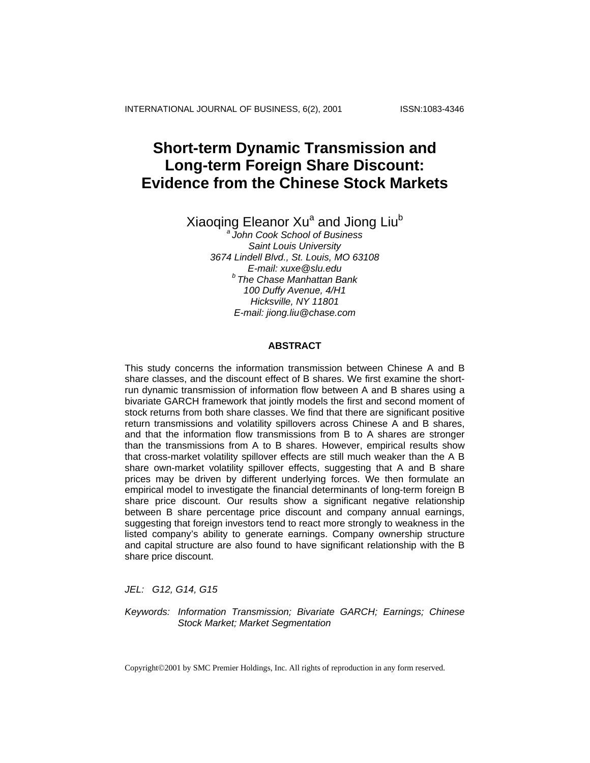INTERNATIONAL JOURNAL OF BUSINESS, 6(2), 2001 ISSN:1083-4346

# **Short-term Dynamic Transmission and Long-term Foreign Share Discount: Evidence from the Chinese Stock Markets**

Xiaoqing Eleanor Xu<sup>a</sup> and Jiong Liu<sup>b</sup>

*a John Cook School of Business Saint Louis University 3674 Lindell Blvd., St. Louis, MO 63108 E-mail: xuxe@slu.edu b The Chase Manhattan Bank 100 Duffy Avenue, 4/H1 Hicksville, NY 11801 E-mail: jiong.liu@chase.com* 

# **ABSTRACT**

This study concerns the information transmission between Chinese A and B share classes, and the discount effect of B shares. We first examine the shortrun dynamic transmission of information flow between A and B shares using a bivariate GARCH framework that jointly models the first and second moment of stock returns from both share classes. We find that there are significant positive return transmissions and volatility spillovers across Chinese A and B shares, and that the information flow transmissions from B to A shares are stronger than the transmissions from A to B shares. However, empirical results show that cross-market volatility spillover effects are still much weaker than the A B share own-market volatility spillover effects, suggesting that A and B share prices may be driven by different underlying forces. We then formulate an empirical model to investigate the financial determinants of long-term foreign B share price discount. Our results show a significant negative relationship between B share percentage price discount and company annual earnings, suggesting that foreign investors tend to react more strongly to weakness in the listed company's ability to generate earnings. Company ownership structure and capital structure are also found to have significant relationship with the B share price discount.

*JEL: G12, G14, G15* 

*Keywords: Information Transmission; Bivariate GARCH; Earnings; Chinese Stock Market; Market Segmentation* 

Copyright©2001 by SMC Premier Holdings, Inc. All rights of reproduction in any form reserved.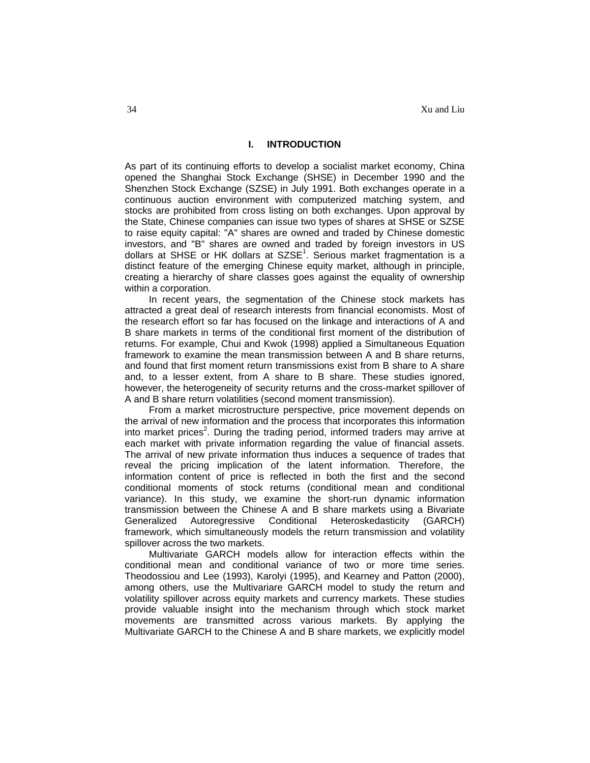# **I. INTRODUCTION**

As part of its continuing efforts to develop a socialist market economy, China opened the Shanghai Stock Exchange (SHSE) in December 1990 and the Shenzhen Stock Exchange (SZSE) in July 1991. Both exchanges operate in a continuous auction environment with computerized matching system, and stocks are prohibited from cross listing on both exchanges. Upon approval by the State, Chinese companies can issue two types of shares at SHSE or SZSE to raise equity capital: "A" shares are owned and traded by Chinese domestic investors, and "B" shares are owned and traded by foreign investors in US dollars at SHSE or HK dollars at SZSE<sup>1</sup>. Serious market fragmentation is a distinct feature of the emerging Chinese equity market, although in principle, creating a hierarchy of share classes goes against the equality of ownership within a corporation.

In recent years, the segmentation of the Chinese stock markets has attracted a great deal of research interests from financial economists. Most of the research effort so far has focused on the linkage and interactions of A and B share markets in terms of the conditional first moment of the distribution of returns. For example, Chui and Kwok (1998) applied a Simultaneous Equation framework to examine the mean transmission between A and B share returns, and found that first moment return transmissions exist from B share to A share and, to a lesser extent, from A share to B share. These studies ignored, however, the heterogeneity of security returns and the cross-market spillover of A and B share return volatilities (second moment transmission).

From a market microstructure perspective, price movement depends on the arrival of new information and the process that incorporates this information into market prices<sup>2</sup>. During the trading period, informed traders may arrive at each market with private information regarding the value of financial assets. The arrival of new private information thus induces a sequence of trades that reveal the pricing implication of the latent information. Therefore, the information content of price is reflected in both the first and the second conditional moments of stock returns (conditional mean and conditional variance). In this study, we examine the short-run dynamic information transmission between the Chinese A and B share markets using a Bivariate Generalized Autoregressive Conditional Heteroskedasticity (GARCH) framework, which simultaneously models the return transmission and volatility spillover across the two markets.

Multivariate GARCH models allow for interaction effects within the conditional mean and conditional variance of two or more time series. Theodossiou and Lee (1993), Karolyi (1995), and Kearney and Patton (2000), among others, use the Multivariare GARCH model to study the return and volatility spillover across equity markets and currency markets. These studies provide valuable insight into the mechanism through which stock market movements are transmitted across various markets. By applying the Multivariate GARCH to the Chinese A and B share markets, we explicitly model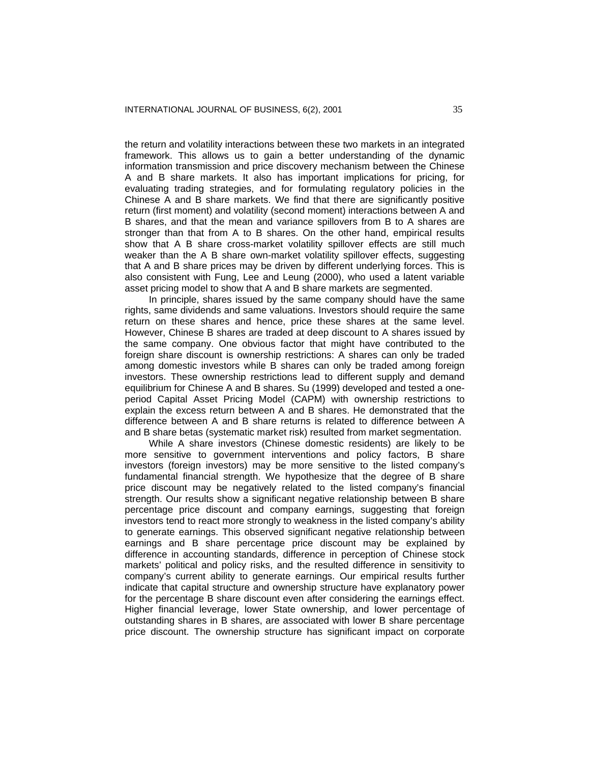the return and volatility interactions between these two markets in an integrated framework. This allows us to gain a better understanding of the dynamic information transmission and price discovery mechanism between the Chinese A and B share markets. It also has important implications for pricing, for evaluating trading strategies, and for formulating regulatory policies in the Chinese A and B share markets. We find that there are significantly positive return (first moment) and volatility (second moment) interactions between A and B shares, and that the mean and variance spillovers from B to A shares are stronger than that from A to B shares. On the other hand, empirical results show that A B share cross-market volatility spillover effects are still much weaker than the A B share own-market volatility spillover effects, suggesting that A and B share prices may be driven by different underlying forces. This is also consistent with Fung, Lee and Leung (2000), who used a latent variable asset pricing model to show that A and B share markets are segmented.

In principle, shares issued by the same company should have the same rights, same dividends and same valuations. Investors should require the same return on these shares and hence, price these shares at the same level. However, Chinese B shares are traded at deep discount to A shares issued by the same company. One obvious factor that might have contributed to the foreign share discount is ownership restrictions: A shares can only be traded among domestic investors while B shares can only be traded among foreign investors. These ownership restrictions lead to different supply and demand equilibrium for Chinese A and B shares. Su (1999) developed and tested a oneperiod Capital Asset Pricing Model (CAPM) with ownership restrictions to explain the excess return between A and B shares. He demonstrated that the difference between A and B share returns is related to difference between A and B share betas (systematic market risk) resulted from market segmentation.

While A share investors (Chinese domestic residents) are likely to be more sensitive to government interventions and policy factors, B share investors (foreign investors) may be more sensitive to the listed company's fundamental financial strength. We hypothesize that the degree of B share price discount may be negatively related to the listed company's financial strength. Our results show a significant negative relationship between B share percentage price discount and company earnings, suggesting that foreign investors tend to react more strongly to weakness in the listed company's ability to generate earnings. This observed significant negative relationship between earnings and B share percentage price discount may be explained by difference in accounting standards, difference in perception of Chinese stock markets' political and policy risks, and the resulted difference in sensitivity to company's current ability to generate earnings. Our empirical results further indicate that capital structure and ownership structure have explanatory power for the percentage B share discount even after considering the earnings effect. Higher financial leverage, lower State ownership, and lower percentage of outstanding shares in B shares, are associated with lower B share percentage price discount. The ownership structure has significant impact on corporate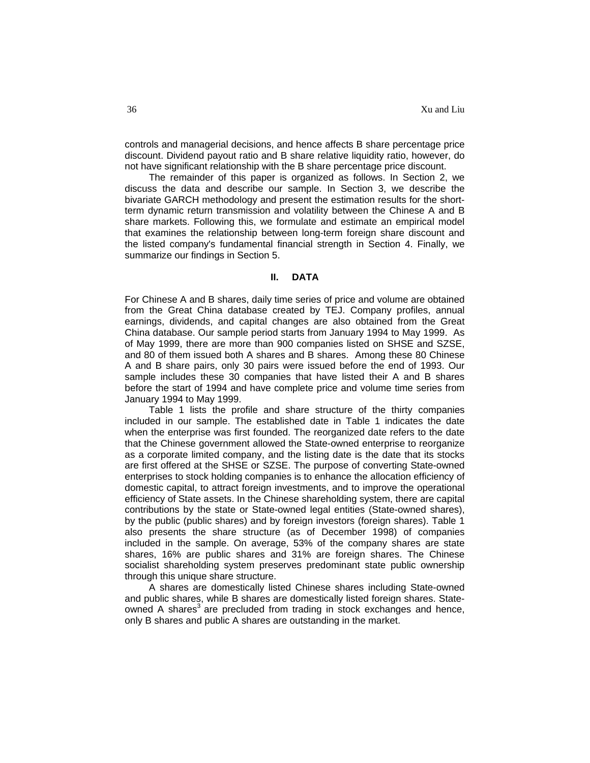controls and managerial decisions, and hence affects B share percentage price discount. Dividend payout ratio and B share relative liquidity ratio, however, do not have significant relationship with the B share percentage price discount.

The remainder of this paper is organized as follows. In Section 2, we discuss the data and describe our sample. In Section 3, we describe the bivariate GARCH methodology and present the estimation results for the shortterm dynamic return transmission and volatility between the Chinese A and B share markets. Following this, we formulate and estimate an empirical model that examines the relationship between long-term foreign share discount and the listed company's fundamental financial strength in Section 4. Finally, we summarize our findings in Section 5.

#### **II. DATA**

For Chinese A and B shares, daily time series of price and volume are obtained from the Great China database created by TEJ. Company profiles, annual earnings, dividends, and capital changes are also obtained from the Great China database. Our sample period starts from January 1994 to May 1999. As of May 1999, there are more than 900 companies listed on SHSE and SZSE, and 80 of them issued both A shares and B shares. Among these 80 Chinese A and B share pairs, only 30 pairs were issued before the end of 1993. Our sample includes these 30 companies that have listed their A and B shares before the start of 1994 and have complete price and volume time series from January 1994 to May 1999.

Table 1 lists the profile and share structure of the thirty companies included in our sample. The established date in Table 1 indicates the date when the enterprise was first founded. The reorganized date refers to the date that the Chinese government allowed the State-owned enterprise to reorganize as a corporate limited company, and the listing date is the date that its stocks are first offered at the SHSE or SZSE. The purpose of converting State-owned enterprises to stock holding companies is to enhance the allocation efficiency of domestic capital, to attract foreign investments, and to improve the operational efficiency of State assets. In the Chinese shareholding system, there are capital contributions by the state or State-owned legal entities (State-owned shares), by the public (public shares) and by foreign investors (foreign shares). Table 1 also presents the share structure (as of December 1998) of companies included in the sample. On average, 53% of the company shares are state shares, 16% are public shares and 31% are foreign shares. The Chinese socialist shareholding system preserves predominant state public ownership through this unique share structure.

A shares are domestically listed Chinese shares including State-owned and public shares, while B shares are domestically listed foreign shares. Stateowned A shares<sup>3</sup> are precluded from trading in stock exchanges and hence, only B shares and public A shares are outstanding in the market.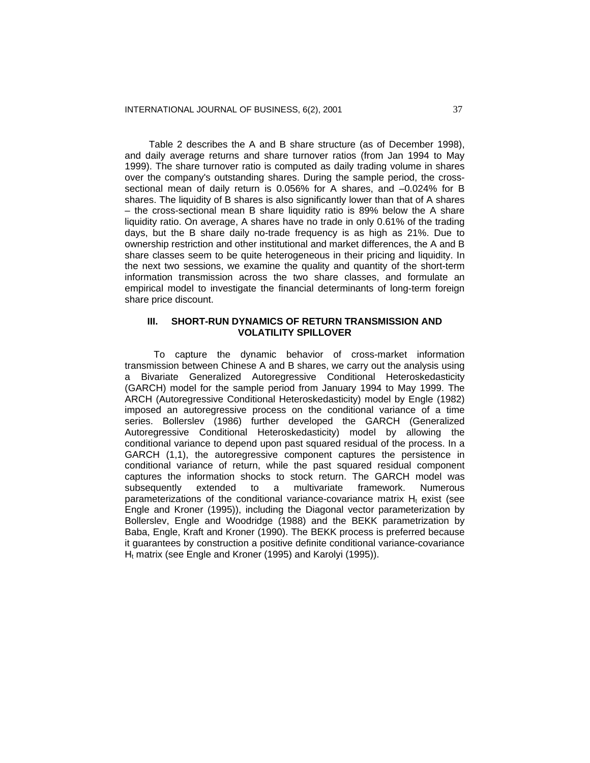Table 2 describes the A and B share structure (as of December 1998), and daily average returns and share turnover ratios (from Jan 1994 to May 1999). The share turnover ratio is computed as daily trading volume in shares over the company's outstanding shares. During the sample period, the crosssectional mean of daily return is 0.056% for A shares, and –0.024% for B shares. The liquidity of B shares is also significantly lower than that of A shares – the cross-sectional mean B share liquidity ratio is 89% below the A share liquidity ratio. On average, A shares have no trade in only 0.61% of the trading days, but the B share daily no-trade frequency is as high as 21%. Due to ownership restriction and other institutional and market differences, the A and B share classes seem to be quite heterogeneous in their pricing and liquidity. In the next two sessions, we examine the quality and quantity of the short-term information transmission across the two share classes, and formulate an empirical model to investigate the financial determinants of long-term foreign share price discount.

#### **III. SHORT-RUN DYNAMICS OF RETURN TRANSMISSION AND VOLATILITY SPILLOVER**

To capture the dynamic behavior of cross-market information transmission between Chinese A and B shares, we carry out the analysis using a Bivariate Generalized Autoregressive Conditional Heteroskedasticity (GARCH) model for the sample period from January 1994 to May 1999. The ARCH (Autoregressive Conditional Heteroskedasticity) model by Engle (1982) imposed an autoregressive process on the conditional variance of a time series. Bollerslev (1986) further developed the GARCH (Generalized Autoregressive Conditional Heteroskedasticity) model by allowing the conditional variance to depend upon past squared residual of the process. In a GARCH (1,1), the autoregressive component captures the persistence in conditional variance of return, while the past squared residual component captures the information shocks to stock return. The GARCH model was subsequently extended to a multivariate framework. Numerous parameterizations of the conditional variance-covariance matrix  $H_t$  exist (see Engle and Kroner (1995)), including the Diagonal vector parameterization by Bollerslev, Engle and Woodridge (1988) and the BEKK parametrization by Baba, Engle, Kraft and Kroner (1990). The BEKK process is preferred because it guarantees by construction a positive definite conditional variance-covariance  $H_t$  matrix (see Engle and Kroner (1995) and Karolyi (1995)).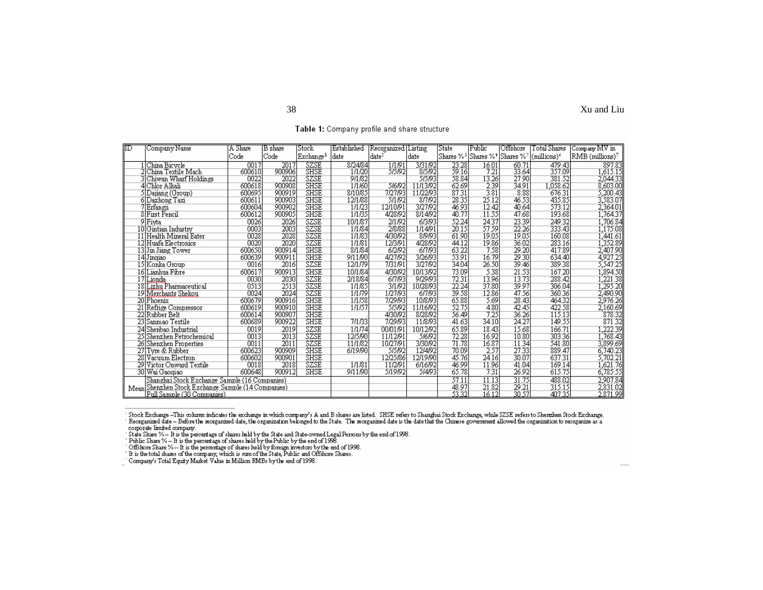| ℼ   | Company Name                                       | A Share | B share           | Stock                 | Established            | Reorganized       | <b>Listing</b> | State                 | Public               | Offshore                                     | Total Shares                 | Company MV in        |
|-----|----------------------------------------------------|---------|-------------------|-----------------------|------------------------|-------------------|----------------|-----------------------|----------------------|----------------------------------------------|------------------------------|----------------------|
|     |                                                    | Code    | Code              | Exchange <sup>1</sup> | date                   | date <sup>2</sup> | date           | Shares % <sup>3</sup> |                      | Shares %* Shares % <sup>3</sup>  (millions)* |                              | RMB (millions)7      |
|     | 1 China Bicycle<br>2 China Textile Mach            | 0017    | $\overline{2017}$ | SZSE<br>SHSE          | $\frac{872484}{11120}$ | 1/1/91            | 3/31/92        | $\frac{23.28}{59.16}$ | $\frac{16.01}{7.21}$ | $\frac{60.71}{33.64}$                        | 479.43<br>357.09             | - 897.83<br>1,615.15 |
|     |                                                    | 600610  | 900906            |                       |                        | 5/5/92            | 8/5/92         |                       |                      |                                              |                              |                      |
|     | 3 Chiwan Wharf Holdings                            | 0022    | 2022              | SZSE                  | 9/1/82                 |                   | 5/5/93         | 58.84                 | 13.26                | 27.90                                        | 381.52                       | 2,044.33             |
|     | 4 Chlor Alkali                                     | 600618  | 900908            | <b>SHSE</b>           | 1/1/60                 | 516192            | 11/13/92       | 62.69                 | 2.39                 | 34.91                                        |                              | 8,603.00             |
|     | 5 Dajiang (Group)                                  | 600695  | 900919            | <b>SHSE</b>           | 8/10/85                | 7/27/93           | 11/22/93       | 87.31                 | 3.81                 | 8.88                                         |                              | 5,200.43             |
|     | 6 Dazhong Taxi                                     | 600611  | 900903            | <b>SHSE</b>           | 12/1/88                | 5/1/92            | 8/7/92         | 28.35                 | 25.12                | 46.53                                        | 1,038.62<br>676.31<br>435.85 | 3,583.07             |
|     | Erfangji                                           | 600604  | 900902            | <b>SHSE</b>           | 1/1/23                 | 12/10/91          | 3/27/92        | 46.93                 | 12.42                | 40.64                                        | 573.12                       | 2,364.01             |
|     | <b>First Pencil</b>                                | 600612  | 900905            | <b>SHSE</b>           | 1/1/35                 | 4/28/92           | 8/14/92        | 40.77                 | 11.55                | 47.68                                        | 193.68                       | 1,764.37             |
| g   | Fivta                                              | 0026    | 2026              | <b>SZSE</b>           | 10/1/87                | 2/1/92            | 6/3/93         | 52.24                 | 24.37                | 23.39                                        | 249.32                       | 1,706.84             |
|     | 10 Gintian Industry                                | 0003    | 2003              | SZSE                  | 1/1/84                 | 2/8/88            | 1/14/91        | 20.15                 | 57.59                | 22.26                                        | 333.43                       | 1,175.08             |
|     | 11 Health Mineral Eater                            | 0028    | 2028              | SZSE                  | 1/1/83                 | 4/30/92           | 8/9/93         | 61.90                 | 19.05                | 19.05                                        | 160.08                       | .441.61              |
|     | 12 Huafa Electronics                               | 0020    | 2020              | SZSE                  | 1/1/81                 | 12/3/91           | 4/28/92        | 44.12                 | 19.86                | 36.02                                        | 283.16                       | 1,352.89             |
|     | 13 Jin Jiang Tower                                 | 600650  | 900914            | <b>SHSE</b>           | 8/1/84                 | 6/2/92            | 6/7/93         | 63.22                 | 7.58                 | 29.20                                        | 417.89                       | 2,407.90             |
|     | 14 Jinqiao                                         | 600639  | 900911            | <b>SHSE</b>           | 9/11/90                | 4/27/92           | 3/26/93        | 53.91                 | 16.79                | 29.30                                        | 634.40                       | 4927.25<br>5,547.25  |
|     | 15 Konka Group                                     | 0016    | 2016              | SZSE                  | 12/1/79                | 7/31/91           | 3/27/92        | 34.04                 | 26.50                | 39.46                                        | 389.38                       |                      |
| 16  | Lianhua Fibre                                      | 600617  | 900913            | <b>SHSE</b>           | 10/1/84                | 4/30/92           | 10/13/92       | 73.09                 | 5.38                 | 21.53                                        | 167.20                       | ,894.50              |
| 17  | Lionda                                             | 0030    | 2030              | SZSE                  | 2/18/84                | 6/7/93            | 9/29/93        | 72.31                 | 13.96                | 13.73                                        | 288.42                       | $\frac{1}{221.38}$   |
| 18  | Lizhu Pharmaceutic al                              | 0513    | 2513              | SZSE                  | 1/1/85                 | 3/1/92            | 10/28/93       | 22.24                 | 37.80                | 39.97                                        | 306.04                       | $\frac{1}{295.20}$   |
| 19  | Merchants Shekou                                   | 0024    | 2024              | SZSE                  | 1/1/79                 | 1/27/93           | 6/7/93         | 39.58                 | 12.86                | 47.56                                        | 360.36                       | 2.490.90             |
|     | 20 Phoenix                                         | 600679  | 900916            | <b>SHSE</b>           | 1/1/58                 | 7/29/93           | 10/8/93        | 65.88                 | 5.69                 | 28.43                                        | 464.32                       | 2,976.26             |
|     | Refrige Compressor                                 | 600619  | 900910            | <b>SHSE</b>           | 1/1/57                 | 5/5/92            | 11/16/92       | 52.75                 | 4.80                 | 42.45                                        | 422.58                       | 2,160.69             |
| 221 | Rubber Belt                                        | 600614  | 900907            | <b>SHSE</b>           |                        | 4/30/92           | 8/28/92        | 56.49                 | 7.25                 | 36.26                                        | 115.13                       | 878.32               |
| 23  | Sanmao Textile                                     | 600689  | 900922            | <b>SHSE</b>           | 7/1/33                 | 7/29/93           | 11/8/93        | 41.63                 | 34.10                | 24.27                                        | 149.55                       | 871.32               |
|     | 24 Shenbao Industrial                              | 0019    | 2019              | SZSE                  | 1/1/74                 | 00/01/91          | 10/12/92       | 65.89                 | 18.43                | 15.68                                        | 166.71                       | ,222.39              |
|     | 25 Shenzhen Petrochemical                          | 0013    | 2013              | SZSE                  | 12/5/90                | 11/12/91          | 5/6/92         | 72.28                 | 16.92                | 10.80                                        | 303.36                       | (768.43)             |
|     | 26 Shenzhen Properties                             | 0011    | 2011              | SZSE                  | 11/1/82                | 10/27/91          | 3/30/92        | 71.78                 | 16.87                | 11.34                                        | 541.80                       | 3,899.69             |
|     | 27 Tyre & Rubber                                   | 600623  | 900909            | <b>SHSE</b>           | 6/19/90                | 515192            | 12/4/92        | 70.09                 | 2.57                 | 27.33                                        | 889.47                       | 6,740.23             |
|     | 28 Vacuum Electron                                 | 600602  | 900901            | <b>SHSE</b>           |                        | 12/25/86          | 12/19/90       | 45.76                 | 24.16                | 30.07                                        | 637.31                       | 3,702.21<br>1,621.76 |
|     | 29 Victor Onward Textile                           | 0018    | 2018              | SZSE                  | 1/1/81                 | 11/2/91           | 6/16/92        | 46.99                 | 11.96                | 41.04                                        | 169.14                       |                      |
|     | 30 Wai Gaogiao                                     | 600648  | 900912            | SHSE                  | 9/11/90                | 5/19/92           | 514193         | 65.78                 | 7.31                 | 26.92                                        | 615.75                       | 6,785.55             |
|     | Shanghai Stock Exchange Sample (16 Companies)      |         |                   |                       |                        |                   |                | 57.11                 | 11.13                | 31.75                                        | 488.02                       | 2,907.84             |
|     | Mean Shenzhen Stock Exchange Sample (14 Companies) |         |                   |                       |                        |                   |                | 48.97                 | 21.82                | 29.21                                        | 315.15                       | 2,831.02             |
|     | Full Sample (30 Companies)                         |         |                   |                       |                        |                   |                | 53.32                 | 16.12                | 30.57                                        | 407.35                       | 2.871.99             |

Table 1: Company profile and share structure

Stock Exchange –<br>This column indicates the exchange in which company's A and B shares are listed. SHSE refers to Shanghai Stock Exchange, while SZSE refers to Sherzhen Stock Exchange.<br>
Reorganized date – Before the reorga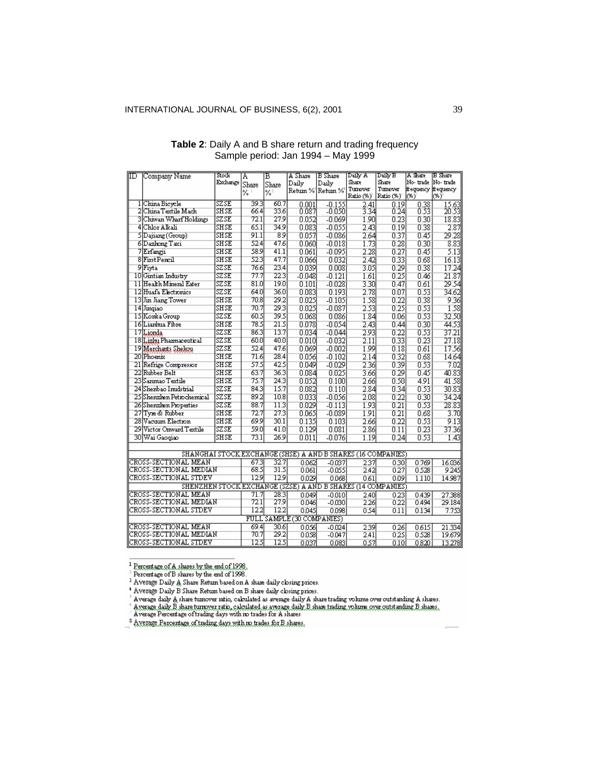| IID | Company Name                                                 | Stock       | A     | в                 | A Share                    | B Share         | Daily A               | Daily B                           | A Share                     | B Share               |
|-----|--------------------------------------------------------------|-------------|-------|-------------------|----------------------------|-----------------|-----------------------|-----------------------------------|-----------------------------|-----------------------|
|     |                                                              | Exchange    | Share | Share             | Dailv                      | Daily           | Share                 | Share                             | No-trade  No-trade          |                       |
|     |                                                              |             | %     | %2                |                            | Retum % Retum % | Tumover<br>Ratio (%)' | Tumover<br>Ratio (%) <sup>*</sup> | frequency frequency<br>low) | (%)                   |
|     | 1 China Bievele                                              | SZSE        | 393   | 60.7              | 0.001                      | $-0.155$        |                       | 0.19                              |                             |                       |
|     | 2 China Textile Mach                                         | SHSE        | 66.4  | 33.6              | 0.087                      | $-0.050$        | $\frac{2.41}{3.34}$   | 0.24                              | $\frac{0.38}{0.53}$         | $\frac{15.63}{20.53}$ |
|     | 3 Chiwan Wharf Holdings                                      | SZSE        | 72.1  | 27.9              | 0.052                      | $-0.069$        | 1.90                  | 0.23                              | 0.30                        | 18.83                 |
|     | 4 Chlor Alkali                                               | SHSE        | 65.1  | 34.9              | 0.083                      | $-0.055$        | 2.43                  | 0.19                              | 0.38                        | 2.87                  |
|     | SDajiang (Group)                                             | SHSE        | 91.1  | 89                | 0.057                      | $-0.086$        | 2.64                  | 0.37                              | 0.45                        | 29.28                 |
|     | 6 Dazhong Taxi                                               | SHSE        | 52.4  | 47.6              |                            |                 |                       |                                   |                             | 8.83                  |
|     | 7 Erfangji                                                   | SHSE        | 58.9  | 41.1              | 0.060                      | $-0.018$        | 1.73                  | 0.28<br>0.27                      | 0.30                        |                       |
|     | 8 First Pencil                                               | SHSE        | 52.3  | 47.7              | 0.061                      | $-0.095$        | 2.28                  |                                   | 0.45                        | 5.13                  |
|     |                                                              |             |       |                   | 0.066                      | 0.032           | 2.42                  | 0.33                              | 0.68                        | 16.13                 |
|     | 9 Fiyta                                                      | SZSE        | 76.6  | 23.4              | 0.039                      | 0.008           | 3.05                  | 0.29                              | 0.38                        | 17.24                 |
|     | 10 Gintian Industry                                          | SZSE        | 77.7  | 22.3              | $-0.048$                   | $-0.121$        | 1.61                  | 0.25                              | 0.46                        | 21.87                 |
|     | 11 Health Mineral Eater                                      | SZSE        | 81.0  | 19.0              | 0.101                      | $-0.028$        | 3.30                  | 0.47                              | 0.61                        | 29.54                 |
|     | 12 Huafa Electronics                                         | SZSE        | 64.0  | 36.0              | 0.083                      | 0.193           | 2.78                  | 0.07                              | 0.53                        | 34.62                 |
|     | 13 Jin Jiang Tower                                           | SHSE        | 70.8  | 29.2              | 0.025                      | $-0.105$        | 1.58                  | 0.22                              | 0.38                        | 9.36                  |
|     | 14 Jingiao                                                   | SHSE        | 70.7  | 29.3              | 0.025                      | $-0.087$        | 2.53                  | 0.25                              | 0.53                        | 1.58                  |
|     | 15 Konka Group                                               | SZSE        | 60.5  | 39.5              | 0.068                      | 0.086           | 1.84                  | 0.06                              | 0.53                        | 32.50                 |
|     | 16 Lianhua Fibre                                             | SHSE        | 78.5  | 21.5              | 0.078                      | $-0.054$        | 2.43                  | 0.44                              | 0.30                        | 44.53                 |
|     | 17 Lionda                                                    | SZSE        | 86.3  | 13.7              | 0.034                      | $-0.044$        | 2.93                  | 0.22                              | 0.53                        | 37.21                 |
|     | 18 Lizhu Pharmaceutical                                      | SZSE        | 60.0  | 40.0              | 0.010                      | $-0.032$        | 2.11                  | 0.33                              | 0.23                        | 27.18                 |
|     | 19 Merchants Shekou                                          | SZSE        | 52.4  | 47.6              | 0.069                      | $-0.002$        | 1.99                  | 0.18                              | 0.61                        | 17.56                 |
|     | 20 Phoenix                                                   | SHSE        | 71.6  | 28.4              | 0.056                      | $-0.102$        | 2.14                  | 0.32                              | 0.68                        | 14.64                 |
|     | 21 Refrige Compressor                                        | <b>SHSE</b> | 57.5  | 42.5              | 0.049                      | $-0.029$        | 2.36                  | 0.39                              | 0.53                        | 7.02                  |
|     | 22 Rubber Belt                                               | SHSE        | 63.7  | 36.3              | 0.084                      | 0.025           | 3.66                  | 0.29                              | 0.45                        | 40.83                 |
|     | 23 Sanmao Textile                                            | SHSE        | 75.7  | 24.3              | 0.052                      | 0.100           | 2.66                  | 0.50                              | 4.91                        | 41.58                 |
|     | 24 Shenbao Inudstrial                                        | SZSE        | 84.3  | 15.7              | 0.082                      | 0.110           | 2.84                  | 0.34                              | 0.53                        | 30.83                 |
|     | 25 Shenzhen Petrochemical                                    | SZSE        | 89.2  | 10.8              | 0.033                      | $-0.056$        | 2.08                  | 0.22                              | 0.30                        | 34.24                 |
|     | 26 Shenzhen Properties                                       | SZSE        | 88.7  | 11.3              | 0.029                      | $-0.113$        | 1.93                  | 0.21                              | 0.53                        | 28.83                 |
|     | 27 Type & Rubber                                             | SHSE        | 72.7  | 27.3              | 0.065                      | $-0.089$        | 1.91                  | 0.21                              | 0.68                        | 3.70                  |
|     | 28 Vacuum Election                                           | SHSE        | 69.9  | 30.1              | 0.135                      | 0.103           | 2.66                  | 0.22                              | 0.53                        | 9.13                  |
|     | 29 Victor Onward Textile                                     | SZSE        | 59.0  | 41.0              | 0.129                      | 0.081           | 2.86                  | 0.11                              | 0.23                        | 37.36                 |
|     | 30 Wai Gaogiao                                               | SHSE        | 73.1  | 26.9              | 0.011                      | $-0.076$        | 1.19                  | 0.24                              | 0.53                        | 1.43                  |
|     |                                                              |             |       |                   |                            |                 |                       |                                   |                             |                       |
|     | SHANGHAI STOCK EXCHANGE (SHSE) A AND B SHARES (16 COMPANIES) |             |       |                   |                            |                 |                       |                                   |                             |                       |
|     | CROSS-SECTIONAL MEAN                                         |             | 67.3  | 32.7              | 0.062                      | $-0.037$        | 237                   | 0.30                              | 0.769                       | 16.036                |
|     | CROSS-SECTIONAL MEDIAN                                       |             | 68.5  | 31.5              | 0.061                      | -0.055          | 2.42                  | 027                               | 0.528                       | 9245                  |
|     | CROSS-SECTIONAL STDEV                                        |             | 12.9  | 12.9              | 0.029                      | 0.068           | 061                   | 0.09                              | 1.110                       | 14.987                |
|     | SHENZHEN STOCK EXCHANGE (SZSE) A AND B SHARES (14 COMPANIES) |             |       |                   |                            |                 |                       |                                   |                             |                       |
|     | CROSS-SECTIONAL MEAN                                         |             | 71.7  | $\overline{28.3}$ |                            |                 |                       |                                   |                             |                       |
|     | CROSS-SECTIONAL MEDIAN                                       | 72.1        | 27.9  | 0.049             | $-0.010$                   | 2.40            | 023<br>022            | 0.439<br>0.494                    | 27.388<br>29.184            |                       |
|     | CROSS-SECTIONAL STDEV                                        |             | 12.2  | 12.2              | 0.046                      | -0.030          | 226                   |                                   |                             |                       |
|     |                                                              |             |       |                   | 0.045                      | 0.098           | 0.54                  | 0.11                              | 0.134                       | 7.753                 |
|     |                                                              |             |       |                   | FULL SAMPLE (30 COMPANIES) |                 |                       |                                   |                             |                       |
|     | CROSS-SECTIONAL MEAN                                         |             | 69.4  | 30.6              | 0.056                      | $-0.024$        | 239                   | 026                               | 0615                        | 21.334                |
|     | CROSS-SECTIONAL MEDIAN                                       |             | 70.7  | 29.2              | 0.058                      | $-0.047$        | 2.41                  | 025                               | 0.528                       | 19.679                |
|     | CROSS-SECTIONAL STDEV                                        |             | 12.5  | 12.5              | 0037                       | 0.083           | n szi                 | n Inl                             | 0.8201                      | 13.278                |

# **Table 2**: Daily A and B share return and trading frequency Sample period: Jan 1994 – May 1999

Average Daily B Share Return based on B share daily closing prices.<br>
"Average Daily B Share Return based on B share daily closing prices.<br>
"Average daily A share tumover ratio, calculated as average daily A share trading v

. Average Percentage of trading days with no trades £0x E shares.

 $\begin{array}{l} \frac{1}{2}\text{Exercise of A shared by the end of 1998.}\\ \frac{1}{2}\text{ Percentage of B shares by the end of 1998.}\\ \frac{1}{2}\text{ Average Daily A Shees between the A and B.} \end{array}$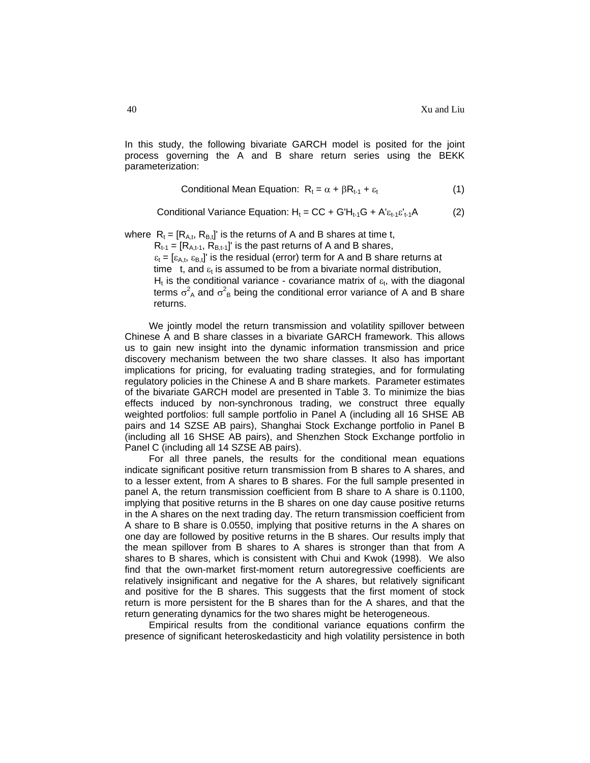In this study, the following bivariate GARCH model is posited for the joint process governing the A and B share return series using the BEKK parameterization:

Conditional Mean Equation: 
$$
R_t = \alpha + \beta R_{t-1} + \varepsilon_t
$$
 (1)

Conditional Variance Equation:  $H_t = CC + G'H_{t-1}G + A' \varepsilon_{t-1} \varepsilon'_{t-1}A$  (2)

where  $R_t = [R_{A,t}, R_{B,t}]$ ' is the returns of A and B shares at time t,

 $R_{t-1} = [R_{A,t-1}, R_{B,t-1}]$ ' is the past returns of A and B shares,

 $\varepsilon_t = [\varepsilon_{A,t}, \varepsilon_{B,t}]$ ' is the residual (error) term for A and B share returns at time t, and  $\varepsilon_t$  is assumed to be from a bivariate normal distribution, H<sub>t</sub> is the conditional variance - covariance matrix of  $\varepsilon_t$ , with the diagonal terms  $\sigma_A^2$  and  $\sigma_B^2$  being the conditional error variance of A and B share returns.

We jointly model the return transmission and volatility spillover between Chinese A and B share classes in a bivariate GARCH framework. This allows us to gain new insight into the dynamic information transmission and price discovery mechanism between the two share classes. It also has important implications for pricing, for evaluating trading strategies, and for formulating regulatory policies in the Chinese A and B share markets. Parameter estimates of the bivariate GARCH model are presented in Table 3. To minimize the bias effects induced by non-synchronous trading, we construct three equally weighted portfolios: full sample portfolio in Panel A (including all 16 SHSE AB pairs and 14 SZSE AB pairs), Shanghai Stock Exchange portfolio in Panel B (including all 16 SHSE AB pairs), and Shenzhen Stock Exchange portfolio in Panel C (including all 14 SZSE AB pairs).

For all three panels, the results for the conditional mean equations indicate significant positive return transmission from B shares to A shares, and to a lesser extent, from A shares to B shares. For the full sample presented in panel A, the return transmission coefficient from B share to A share is 0.1100, implying that positive returns in the B shares on one day cause positive returns in the A shares on the next trading day. The return transmission coefficient from A share to B share is 0.0550, implying that positive returns in the A shares on one day are followed by positive returns in the B shares. Our results imply that the mean spillover from B shares to A shares is stronger than that from A shares to B shares, which is consistent with Chui and Kwok (1998). We also find that the own-market first-moment return autoregressive coefficients are relatively insignificant and negative for the A shares, but relatively significant and positive for the B shares. This suggests that the first moment of stock return is more persistent for the B shares than for the A shares, and that the return generating dynamics for the two shares might be heterogeneous.

Empirical results from the conditional variance equations confirm the presence of significant heteroskedasticity and high volatility persistence in both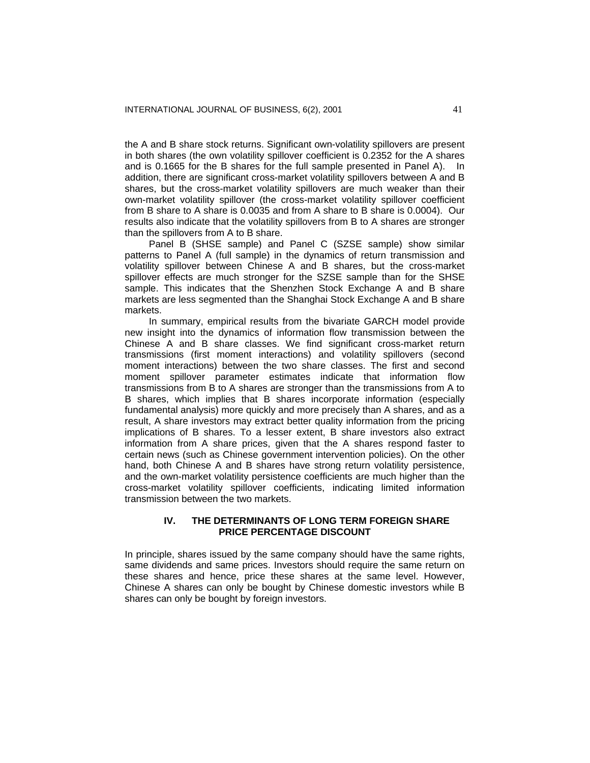the A and B share stock returns. Significant own-volatility spillovers are present in both shares (the own volatility spillover coefficient is 0.2352 for the A shares and is 0.1665 for the B shares for the full sample presented in Panel A). In addition, there are significant cross-market volatility spillovers between A and B shares, but the cross-market volatility spillovers are much weaker than their own-market volatility spillover (the cross-market volatility spillover coefficient from B share to A share is 0.0035 and from A share to B share is 0.0004). Our results also indicate that the volatility spillovers from B to A shares are stronger than the spillovers from A to B share.

Panel B (SHSE sample) and Panel C (SZSE sample) show similar patterns to Panel A (full sample) in the dynamics of return transmission and volatility spillover between Chinese A and B shares, but the cross-market spillover effects are much stronger for the SZSE sample than for the SHSE sample. This indicates that the Shenzhen Stock Exchange A and B share markets are less segmented than the Shanghai Stock Exchange A and B share markets.

In summary, empirical results from the bivariate GARCH model provide new insight into the dynamics of information flow transmission between the Chinese A and B share classes. We find significant cross-market return transmissions (first moment interactions) and volatility spillovers (second moment interactions) between the two share classes. The first and second moment spillover parameter estimates indicate that information flow transmissions from B to A shares are stronger than the transmissions from A to B shares, which implies that B shares incorporate information (especially fundamental analysis) more quickly and more precisely than A shares, and as a result, A share investors may extract better quality information from the pricing implications of B shares. To a lesser extent, B share investors also extract information from A share prices, given that the A shares respond faster to certain news (such as Chinese government intervention policies). On the other hand, both Chinese A and B shares have strong return volatility persistence, and the own-market volatility persistence coefficients are much higher than the cross-market volatility spillover coefficients, indicating limited information transmission between the two markets.

#### **IV. THE DETERMINANTS OF LONG TERM FOREIGN SHARE PRICE PERCENTAGE DISCOUNT**

In principle, shares issued by the same company should have the same rights, same dividends and same prices. Investors should require the same return on these shares and hence, price these shares at the same level. However, Chinese A shares can only be bought by Chinese domestic investors while B shares can only be bought by foreign investors.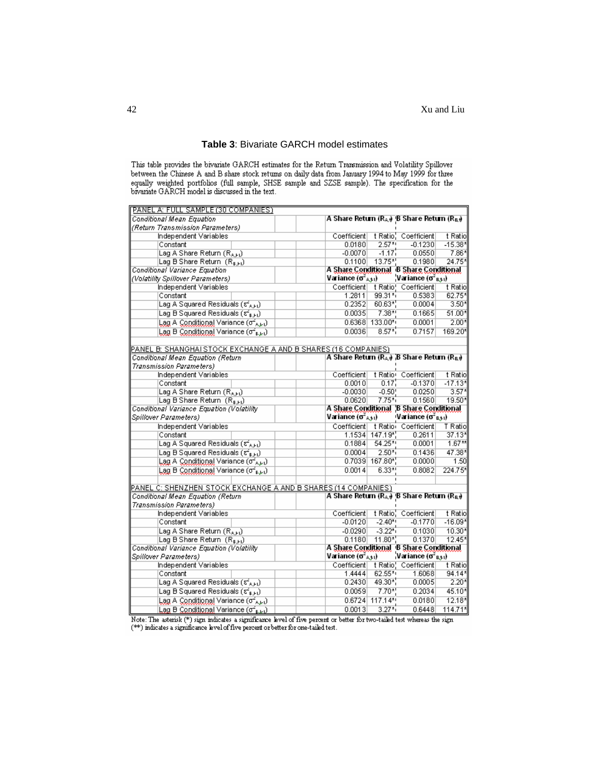| PANEL A: FULL SAMPLE (30 COMPANIES)                                        |                                                                   |                                                      |                                             |                       |  |  |  |
|----------------------------------------------------------------------------|-------------------------------------------------------------------|------------------------------------------------------|---------------------------------------------|-----------------------|--|--|--|
| <b>Conditional Mean Equation</b>                                           | A Share Return (RA) B Share Return (Ra)                           |                                                      |                                             |                       |  |  |  |
| (Return Transmission Parameters)                                           |                                                                   |                                                      |                                             |                       |  |  |  |
| Independent Variables                                                      | Coefficient                                                       |                                                      | t Ratio <sup>1</sup> Coefficient            | t Ratio               |  |  |  |
| Constant                                                                   | 0.0180                                                            | $2.57**$                                             | $-0.1230$                                   | $-15.38*$             |  |  |  |
| Lag A Share Return (RAH)                                                   | $-0.0070$                                                         | $-1.17$                                              | 0.0550                                      | 7.86*                 |  |  |  |
| Lag B Share Return (RBH)                                                   |                                                                   | 0.1100<br>$13.75$ <sup>*</sup> .<br>0.1980<br>24.75* |                                             |                       |  |  |  |
| Conditional Variance Equation                                              |                                                                   | A Share Conditional B Share Conditional              |                                             |                       |  |  |  |
| (Volatility Spillover Parameters)                                          | Variance $(\sigma^2_{A,\pm 1})$                                   |                                                      | Variance $(\sigma^2_{B,\frac{1}{2}})$       |                       |  |  |  |
| Independent Variables                                                      |                                                                   |                                                      | Coefficient   t Ratio   Coefficient         | t Ratio               |  |  |  |
| Constant                                                                   | 1.2811                                                            | $99.31*$                                             | 0.5383                                      | 62.75*                |  |  |  |
| Lag A Squared Residuals (s <sup>2</sup> A,Ft)                              | 0.2352                                                            | $60.63*$                                             | 0.0004                                      | $3.50*$               |  |  |  |
| Lag B Squared Residuals $(\vec{z}_{k+1})$                                  | 0.0035                                                            | $7.38*$                                              | 0.1665                                      | $51.00*$              |  |  |  |
| Lag A Conditional Variance (of Aki)                                        |                                                                   | $0.6368$ 133.00*                                     | 0.0001                                      | $2.00*$               |  |  |  |
| Lag B Conditional Variance (of Burl)                                       | 0.0036                                                            | $8.57*$                                              | 0.7157                                      | 169.20*               |  |  |  |
|                                                                            |                                                                   |                                                      |                                             |                       |  |  |  |
| PANEL B: SHANGHAI STOCK EXCHANGE A AND B SHARES (16 COMPANIES)             |                                                                   |                                                      |                                             |                       |  |  |  |
| Conditional Mean Equation (Return                                          | A Share Return ( $R_A$ ) B Share Return ( $R_B$ )                 |                                                      |                                             |                       |  |  |  |
| Transmission Parameters)                                                   |                                                                   |                                                      |                                             |                       |  |  |  |
| Independent Variables                                                      | Coefficient                                                       |                                                      | t Ratio Coefficient                         | t Ratio               |  |  |  |
| Constant                                                                   | 0.0010                                                            | 0.17'                                                | $-0.1370$                                   | $-17.13*$             |  |  |  |
| Lag A Share Return (RAH)                                                   | $-0.0030$                                                         | $-0.50$                                              | 0.0250                                      | $3.57*$               |  |  |  |
| Lag B Share Return $(R_{k+1})$                                             | 0.0620                                                            | $7.75*1$                                             | 0.1560                                      | 19.50*                |  |  |  |
| Conditional Variance Equation (Volatility                                  |                                                                   | A Share Conditional 'B Share Conditional             |                                             |                       |  |  |  |
|                                                                            |                                                                   |                                                      |                                             |                       |  |  |  |
| Spillover Parameters)                                                      | Variance $(\sigma^2_{A,\pm 1})$                                   |                                                      | ≀Variance (σ <sup>2</sup> <sub>Β.‡1</sub> ) |                       |  |  |  |
| Independent Variables                                                      |                                                                   |                                                      | Coefficient   t Ratio Coefficient           | T Ratio               |  |  |  |
| Constant                                                                   |                                                                   | 1.1534 147.19*                                       | 0.2611                                      | 37.13*                |  |  |  |
| Lag A Squared Residuals $(\epsilon_{A,H}^2)$                               | 0.1884                                                            | $54.25**$                                            | 0.0001                                      | $1.67**$              |  |  |  |
| Lag B Squared Residuals (54 g H)                                           | 0.0004                                                            | $2.50^{*}$                                           | 0.1436                                      | 47.38*                |  |  |  |
| Lag A Conditional Variance (of Aki)                                        |                                                                   | $0.7039$ 167.80*                                     | 0.0000                                      | 1.50                  |  |  |  |
| Lag B Conditional Variance (o's, b)                                        | 0.0014                                                            | $6.33*1$                                             | 0.8082                                      | 224.75*               |  |  |  |
|                                                                            |                                                                   |                                                      |                                             |                       |  |  |  |
| PANEL C: SHENZHEN STOCK EXCHANGE A AND B SHARES (14 COMPANIES)             |                                                                   |                                                      |                                             |                       |  |  |  |
| Conditional Mean Equation (Return                                          | A Share Return (R <sub>A</sub> + B Share Return (R <sub>B</sub> + |                                                      |                                             |                       |  |  |  |
| Transmission Parameters)                                                   |                                                                   |                                                      |                                             |                       |  |  |  |
| Independent Variables                                                      | Coefficient                                                       |                                                      | t Ratio, Coefficient                        | t Ratio               |  |  |  |
| Constant                                                                   | $-0.0120$                                                         | $-2.40$ *                                            | $-0.1770$                                   | $-16.09*$             |  |  |  |
| Lag A Share Return (RAH)                                                   | $-0.0290$                                                         | $-3.22^{*}$                                          | 0.1030                                      | 10.30*                |  |  |  |
| Lag B Share Return $(R_{k+1})$                                             | 0.1180                                                            | $11.80*$                                             | 0.1370                                      | 12.45*                |  |  |  |
| Conditional Variance Equation (Volatility                                  | A Share Conditional B Share Conditional                           |                                                      |                                             |                       |  |  |  |
| Spillover Parameters)                                                      | Variance ( $\sigma^2{}_{\text{A-t1}}$ )                           |                                                      | Variance $(\sigma^2_{B+1})$                 |                       |  |  |  |
| Independent Variables                                                      | Coefficient                                                       |                                                      | t Ratio! Coefficient                        | t Ratio               |  |  |  |
| Constant                                                                   | 1.4444                                                            | 62.55*                                               | 1.6068                                      | 94.14*                |  |  |  |
| Lag A Squared Residuals (ຮ <sub>ົ</sub> ່ <sub>A,Ft</sub> )                | 0.2430                                                            | 49.30*                                               | 0.0005                                      | $2.20*$               |  |  |  |
| Lag B Squared Residuals $(\epsilon_{\text{R-H}}^2)$                        | 0.0059                                                            | $7.70$ <sup>*</sup> .                                | 0.2034                                      | 45.10*                |  |  |  |
| Lag A Conditional Variance (o2 ALL)<br>Lag B Conditional Variance (o's.kt) | 0.0013                                                            | 0.6724 117.14*<br>$3.27*$                            | 0.0180<br>0.6448                            | $12.18*$<br>$114.71*$ |  |  |  |

# **Table 3**: Bivariate GARCH model estimates

This table provides the bivariate GARCH estimates for the Return Transmission and Volatility Spillover between the Chinese A and B share stock returns on daily data from January 1994 to May 1999 for three equally weighted

Note: The asterisk  $(*)$  sign indicates a significance level of five percent or better for two-tailed test whereas the sign  $(*)$  indicates a significance level of five percent or better for one-tailed test.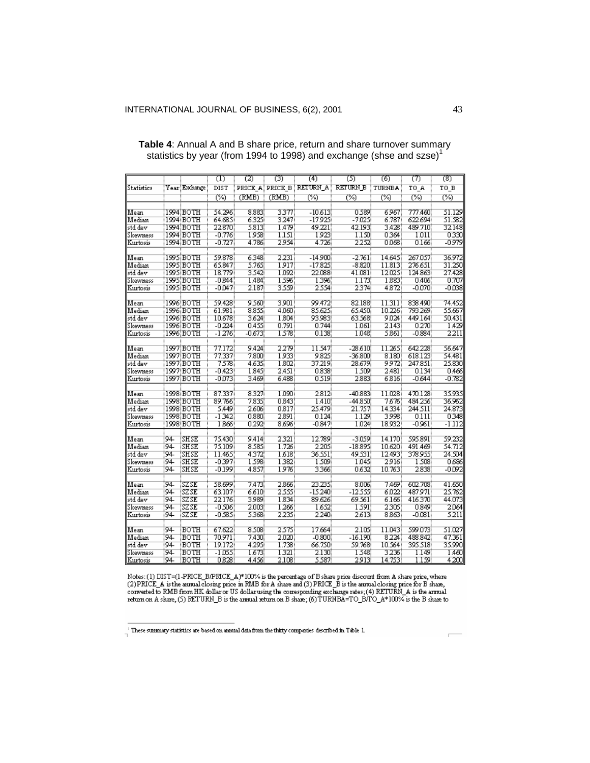|                      |     |                         | $^{(1)}$       | (2)           | (3)          | (4)                      | (5)                 | (6)           | (7)                | (8)               |
|----------------------|-----|-------------------------|----------------|---------------|--------------|--------------------------|---------------------|---------------|--------------------|-------------------|
| Statistics           |     | Year Exchange           | DIST           |               |              | PRICE_A PRICE_B RETURN_A | RETURN B            | TURNBA        | TO A               | TO B              |
|                      |     |                         | ඏ              | (RMB)         | (RMB)        | (%)                      | ඏ                   | %             | (%)                | ැන                |
|                      |     | 1994 BOTH               |                |               |              |                          |                     |               |                    |                   |
| Mean                 |     |                         | 54.296         | 8.883         | 3377         | $-10613$                 | 0.589               | 6967          | 777.460.           | 51.129            |
| Median               |     | 1994 BOTH               | 64.685         | 6325          | 3247         | -17925                   | -7.025              | 6.787         | 622.694            | 51.582            |
| std dev              |     | 1994 BOTH               | 22.870         | 5813          | 1.479        | 49.221                   | 42.193              | 3428          | 489.710            | 32.148            |
| Skewness             |     | :1994:BOTH              | -0.776         | 1938          | 1.151        | 1923                     | 1.150.              | 0364          | 1011               | 0330              |
| Kurtosis             |     | 1994 BOTH               | $-0.727$       | 4.786         | 2954         | 4.726                    | 2252                | 0.068         | 0.166              | $-0.979$          |
| Mean                 |     | :1995:BOTH              | 59.878         | 6348          | 2231         | $-14900$                 | $-2.761$            | 14.645        | 267.057            | 36.972            |
| Median               |     | :1995:BOTH              | 65.847         | 5.765         | 1917         | $-17825$                 | -8.820              | 11.813        | 276.651            | 31.250            |
| std dev              |     | 1995 BOTH               | 18.779         | 3.542         | 1.092        | 22.088                   | 41.081              | 12.025        | 124.863            | 27.428            |
| Skewness             |     | :1995:BOTH              | $-0.844$       | 1.484         | 1596         | 1396                     | 1.173               | 1883          | 0.406              | 0.707             |
| Kurtosis             |     | 1995 BOTH               | $-0.047$       | 2.187         | 3559         | 2554                     | 2374                | 4872          | -0.070:            | $-0.038$          |
|                      |     |                         |                |               |              |                          |                     |               |                    |                   |
| Mean                 |     | :1996:BOTH              | 59.428         | 9.560         | 3901         | 99.472                   | 82.188              | 11.311        | 838,490            | 74.452            |
| Median               |     | 1996 BOTH               | 61.981         | 8855          | 4060         | 85.625                   | 65.450              | 10.226        | 793.269            | 55.667            |
| std dev              |     | :1996:BOTH              | 10.678         | 3624          | 1804         | 93.983                   | 63.568              | 9.024         | 449.164            | 50.431            |
| Skewness             |     | 1996 BOTH               | $-0.224$       | 0.455         | 0.791        | 0.744                    | 1.061               | 2.143.        | 0270.              | 1.429             |
| Kurtosis             |     | :1996:BOTH              | $-1276$        | -0.6733       | 1578         | 0.138                    | 1.048               | 5.861         | -0.884             | 2211              |
| Mean                 |     | 1997 BOTH               | 77.172         | 9.424         | 2279         | 11.547                   | -28.610)            | 11.265        | 642.228            | 56.647            |
|                      |     |                         |                |               | 1933         |                          |                     |               |                    | 54.481            |
| Median               |     | 1997 BOTH!              | 77.337<br>7578 | 7800)<br>4635 | 1802         | 9825<br>37.219           | $-36,800$<br>28.679 | 8.180<br>9972 | 618.123<br>247.851 | 25.830            |
| std dev<br>Skewness  |     | 1997 BOTH               | $-0.423$       | 1845          | 2.451        |                          |                     |               | 0.134              |                   |
| Kurtosis             |     | :1997:BOTH<br>1997 BOTH | -0.073         | 3.469         | 6.488        | 0.838<br>0.519           | 1.509<br>2883       | 2.481<br>6816 | $-0.644$           | 0.466<br>$-0.782$ |
|                      |     |                         |                |               |              |                          |                     |               |                    |                   |
| Mean                 |     | 1998 BOTH               | 87.337         | 8327          | 1.090        | 2812                     | $-40.883$           | 11.028        | 470.128            | 35.935            |
| Median               |     | 1998 BOTH               | 89.766         | 7835          | 0.843        | 1.410                    | -44.850             | 7676          | 484256             | 36.962            |
| std dev              |     | :1998:BOTH              | 5.449          | 2606          | 0817         | 25.479.                  | 21.757!             | 14.334        | 244.511            | 24.873            |
| Skewness             |     | 1998 BOTH!              | -1342          | 0.880         | 2891         | 0.124                    | 1.129               | 3998          | 0.111              | 0348              |
| Kurtosis             |     | 1998 BOTH               | 1866           | 0292          | 8696         | $-0.847$                 | 1.024               | 18.932        | -0.961             | $-1.112$          |
|                      |     |                         |                |               |              |                          |                     |               |                    |                   |
| Mean                 | 94  | SH SE                   | 75.430         | 9.414         | 2321         | 12.789                   | -3.059!             | 14.170        | 595891             | 59.232            |
| Median               | :94 | SHSE                    | 75.109         | 8.585         | 1.726        | 2 205                    | -18.895             | 10.620        | 491.469            | 54.712            |
| std dev              | 94  | SHSE                    | 11.465         | 4372          | 1618         | 36.551                   | 49.S31!             | 12.493        | 378.955            | 24.504            |
| Skewness<br>Kurtosis | :94 | SHSE                    | -0397          | 1.598<br>4857 | 1382<br>1976 | 1.509                    | 1.045<br>0632       | 2916          | 1.508<br>2838      | 0686              |
|                      | :94 | SH SE                   | $-0.199$       |               |              | 3366                     |                     | 10.763        |                    | -0.092            |
| Mean                 | :94 | SZSE                    | 58.699         | 7.473         | 2866         | 23.235                   | 8.006               | 7469          | 602.708            | 41.650            |
| Median               | :94 | iszse                   | 63.107         | 6610          | 2555         | -15240                   | -12555              | 6.022         | 487.971            | 25.762            |
| std dev              | :94 | iszse                   | 22.176         | 3989          | 1834         | 89.626                   | 69.561              | 6.166         | 416.370            | 44.073            |
| Skewness             | :94 | iszse                   | -0.506         | 2003:         | 1266         | 1652                     | 1 591.              | 2305          | 0.849              | 2064              |
| Kurtosis             | :94 | iszse                   | -0.585         | 5368          | 2235         | 2240                     | 2613                | 8.863         | -0.081             | 5211              |
|                      |     |                         |                |               |              |                          |                     |               |                    |                   |
| Mean                 | :94 | BOTH                    | 67.622         | 8.508         | 2575         | 17.664                   | 2.105               | 11.043        | 599.073            | 51.027            |
| Median               | :94 | BOTH                    | 70.971         | 7430)         | 2020         | -0.800                   | -16.190             | 8224          | 488 842            | 47.361            |
| std dev              | :94 | BOTH                    | 19.172         | 4 295.        | 1.738        | 66.750                   | 59.768              | 10.564        | 395.518            | 35.990            |
| Skewness             | :94 | BOTH                    | -1.055         | 1673          | 1321         | 2.130.                   | 1.548               | 3236          | 1.149              | 1.460             |
| Kurtosis             | :94 | BOTH                    | 0.828          | 4.456         | 2.108        | 5587.                    | 2913                | 14.753!       | 1.159              | 4200              |

# **Table 4**: Annual A and B share price, return and share turnover summary statistics by year (from 1994 to 1998) and exchange (shse and szse) $1$

Notes: (1) DIST=(1-PRICE\_B/PRICE\_A)\*100% is the percentage of B share price discount from A share price, where (2) PRICE\_A is the annual closing price in RMB for A share and (3) PRICE\_B is the annual coloring price for B

These summary statistics are based on annual data from the thirty companies described in Table 1.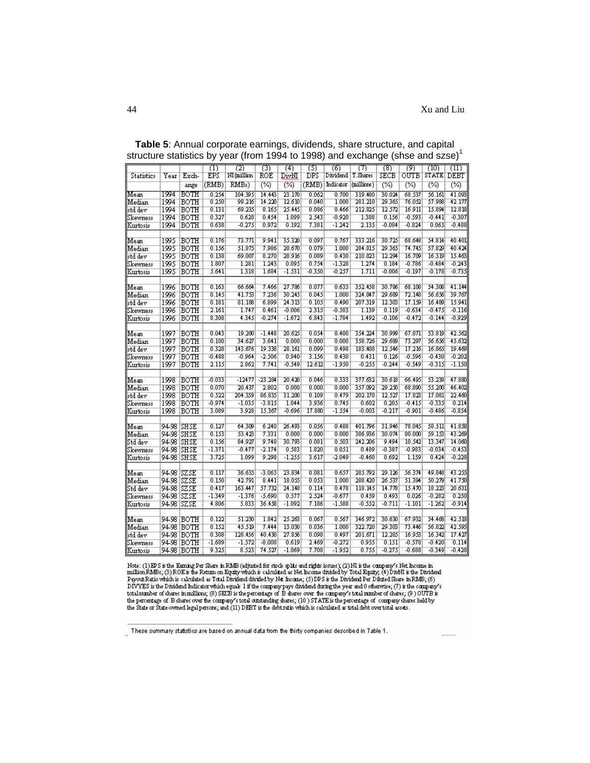|            |              |              | Φ        | 72)           | 73)       | 74)      | ত্য      | 76)                  | 71         | 78)      | 79)      | (10)                | mг       |
|------------|--------------|--------------|----------|---------------|-----------|----------|----------|----------------------|------------|----------|----------|---------------------|----------|
| Statistics | Year         | Exch-        | EPS      | : NI (million | ROE       | DivNI    | DPS      | Dividend : T. Shares |            | SECB     |          | OUTB   STATE   DEBT |          |
|            |              | ange         | (RMB):   | RMBs)         | প্তে      | (%)      |          | (RMB): Indicator     | (millions) | ඏ        | প্তে     | ඏ                   | (%)      |
| Mean       |              | 1994 :ВОТН   | 0.254    | 104.3953      | 14.443    | 23.170   | 0.062    | 0.700:               | 319.480    | 30.024   | 68.537   | 56.161              | 41.093   |
| lMedian    | 1994         | <b>BOTH</b>  | 0.250    | 99.216        | 14.220    | 12.610   | 0.040    | 1.000                | 281.210    | 29.365   | 76.052   | 57.988              | 42.177   |
| std dev    | 1994         | BOTH         | 0.131    | 69.235        | 8.165     | 25.445   | 0.086    | 0.466:               | 212.825    | 12.572   | 16.911   | 15.894              | 12.818   |
| Skewness   | 1994         | <b>BOTH</b>  | 0.327    | 0.628         | 0.454     | 1.099    | 2.543    | $-0.920$             | 1.388      | 0.156    | $-0.593$ | $-0.441$            | $-0.307$ |
| Kurtosis   | 1994         | BOTH         | 0.638    | $-0.275$      | 0.972     | 0.192    | 7.381    | $-1.242$             | 2.135      | $-0.084$ | $-0.824$ | 0.065               | $-0.488$ |
|            |              |              |          |               |           |          |          |                      |            |          |          |                     |          |
| Mean       | 1995         | BOTH         | 0.176    | 73.771        | 9.941     | 35.320   | 0.097    | $0.767$ :            | 333.216    | 30.725   | 68.648   | 54.814              | 40.401   |
| lMedian    |              | 1995 BOTH    | 0.156    | 51.875        | 7.986     | 28.670   | 0.079    | 1.000                | 284.815    | 29.365   | 74.745   | 57.829              | 40.424   |
| std dev    | 1995         | BOTH         | 0.138    | 69.007        | 8.270     | 28.916   | 0.089    | 0.430                | 210.823    | 12.294   | 16.709   | 16.319              | 15.463   |
| Skewness   |              | 1995 BOTH    | 1.807    | 1.281         | 1.243     | 0.095    | 0.754    | $-1.328$             | 1.274      | 0.184    | $-0.786$ | $-0.484$            | $-0.243$ |
| Kurtosis   | 1995         | :BOTH        | 5.641    | 1.318         | 1.684     | -1.531   | $-0.350$ | -0.257               | 1.711      | $-0.006$ | $-0.197$ | $-0.178$            | $-0.735$ |
|            |              |              |          |               |           |          |          |                      |            |          |          |                     |          |
| Mean       | 1996         | ∃BOTH        | 0.163    | 66.664        | 7.466     | 27.786   | 0.077    | 0.633                | 352.458    | 30.786   | 68.108   | 54.308              | 41.144   |
| Median     | :1996        | BOTH         | 0.145    | 41.753        | 7.236     | 30.245   | 0.045    | 1.000                | 324.847    | 29.689   | 72.148   | 56.656              | 39.767   |
| std dev    | 1996         | BOTH         | 0.181    | 81.188        | 6.899     | 24.313   | 0.105    | 0.490:               | 207.319    | 12.303   | 17.199   | 16.489              | 15.941   |
| Skewness   | :1996        | :BOTH        | 2.161    | 1.747         | 0.461     | $-0.006$ | 2.315    | $-0.583$             | 1.139      | 0.119    | $-0.634$ | $-0.475$            | $-0.116$ |
| Kurtosis   | :1996        | BOTH!        | 8.308    | 4.345         | $-0.274$  | $-1.672$ | 6.843    | $-1.784$             | 1.492      | $-0.106$ | $-0.472$ | $-0.144$            | $-0.929$ |
|            |              |              |          |               |           |          |          |                      |            |          |          |                     |          |
| Mean       | 1997         | <b>BOTH</b>  | 0.043    | 19.200        | $-1.448$  | 20.625   | 0.054    | $0.400$ :            | 354.224    | 30.999   | 67.871   | 53.819              | 42.562   |
| Median     |              | 1997 BOTH    | 0.100    | 34.627        | 3.641     | 0.000    | 0.000    | 0.000                | 358.726    | 29.689   | 73.297   | 56.656              | 45.632   |
| lstd dev   | 1997         | :BOTH        | 0.328    | 143.676       | 19.338    | 28.161   | 0.099    | 0.498                | 183.408    | 12.546   | 17.216   | 16.865              | 19.469   |
| Skewness   | 1997         | BOTH         | $-0.488$ | $-0.964$      | $-2.506$  | 0.940    | 3.156    | 0.430                | 0.431      | 0.126    | $-0.596$ | $-0.430$            | $-0.202$ |
| Kurtosis   | 1997         | BOTH         | 2.115    | 2.862         | 7.741     | $-0.549$ | 12.612   | $-1.950$             | $-0.255$   | $-0.244$ | $-0.549$ | $-0.315$            | $-1.150$ |
|            |              |              |          |               |           |          |          |                      |            |          |          |                     |          |
| Mean       | :1998        | BOTH         | $-0.033$ | $-12477$      | $-23.284$ | 20.420   | 0.046    | 0.333                | 377.632    | 30.618   | 66.495   | 53.239              | 47.880   |
| Median     | 1998         | BOTH         | 0.070    | 20.437        | 2.802     | 0.000    | 0.000    | 0.000                | 357.092    | 29.250   | 68.890   | 55.200              | 46.402   |
| std dev    | 1998         | BOTH         | 0.522    | 204.359       | 86.835    | 31.200   | 0.109    | 0.479                | 202.170    | 12.527   | 17.823   | 17.081              | 22.460   |
| Skewness   | 1998         | івотн        | $-0.974$ | $-1.035$      | -3.815    | 1.044    | 3.936    | 0.745                | 0.602      | 0.205    | $-0.415$ | $-0.335$            | 0.214    |
| Kurtosis   | 1998         | BOTH         | 3.089    | 3.928         | 15.367    | $-0.696$ | 17.880   | $-1.554$             | $-0.003$   | $-0.217$ | $-0.901$ | $-0.486$            | $-0.854$ |
|            |              |              |          |               |           |          |          |                      |            |          |          |                     |          |
| Mean       | 94-98 ISH SE |              | 0.127    | 64.309        | 6.240     | 26.493   | 0.056    | 0.488                | 401.796    | 31.946   | 78.045   | 58.511              | 41.858   |
| Median     | 94-98 ISH SE |              | 0.153    | 53.423        | 7.331     | 0.000    | 0.000    | 0.000                | 386.936    | 30.074   | 80.000   | 59.153              | 43.269   |
| Std dev    | 94-98 ISH SE |              | 0.156    | 84.927        | 9.748     | 30.793   | 0.081    | 0.503                | 242.206    | 9.494    | 10.542   | 13.347              | 14.060   |
| Skewness   | 94-98 ISH SE |              | $-1.371$ | $-0.477$      | $-2.174$  | 0.583    | 1.820    | 0.051                | 0.489      | $-0.387$ | $-0.983$ | $-0.034$            | $-0.453$ |
| Kurtosis   | 94-98 SHSE   |              | 3.725    | 1.099         | 9.298     | $-1.255$ | 3.617    | $-2.049$             | $-0.460$   | 0.692    | 1.159    | 0.424               | $-0.228$ |
|            |              |              |          |               |           |          |          |                      |            |          |          |                     |          |
| Mean       | 94-98 ISZSE  |              | 0.117    | 36.635        | $-3.065$  | 23.834   | 0.081    | 0.657                | 285.792    | 29.126   | 56.374   | 49.848              | 43.255   |
| Median     | 94-98 ISZSE  |              | 0.150    | 42.791        | 8.441     | 18.055   | 0.053    | 1.000                | 288.420    | 26.537   | 51.394   | 50.279              | 41.750   |
| Std dev    | 94-98 ISZSE  |              | 0.417    | 163.447       | 57.732    | 24.148   | 0.114    | 0.478                | 118.145    | 14.778   | 15.470   | 18.223              | 20.631   |
| Skewness   | 94-98 ISZSE  |              | $-1.349$ | $-1.376$      | $-5.690$  | 0.577    | 2.524    | $-0.677$             | 0.459      | 0.493    | 0.026    | $-0.282$            | 0.250    |
| Kurtosis   | 94-98 ISZSE  |              | 4.806    | 5.833         | 36.458    | $-1.092$ | 7.186    | $-1.588$             | $-0.552$   | $-0.711$ | $-1.101$ | $-1.262$            | $-0.914$ |
|            |              |              |          |               |           |          |          |                      |            |          |          |                     |          |
| Mean       |              | 94-98 BOTH   | 0.122    | 51.230        | 1.842     | 25.263   | 0.067    | 0.567                | 346.972    | 30.630   | 67.932   | 54.468              | 42.518   |
| Median     |              | 94-98 BOTH   | 0.152    | 45.519        | 7.444     | 13.030   | 0.036    | 1.000:               | 322.720    | 29.303   | 73.446   | 56.822              | 42.595   |
| std dev    |              | 94-98 BOTH   | 0.308    | 128.456       | 40.430    | 27.856   | 0.098    | 0.4973               | 201.671    | 12.285   | 16.953   | 16.342              | 17.427   |
| Skewness   |              | 94-98 BOTH   | $-1.689$ | $-1.572$      | $-8.008$  | 0.619    | 2.469    | $-0.272$             | 0.955      | 0.151    | $-0.578$ | $-0.420$            | 0.114    |
| Kurtosis   |              | !94-98 !BOTH | 9.325    | 8.523         | 74.527    | $-1.069$ | 7.708    | $-1.952$             | 0.755      | $-0.275$ | $-0.688$ | $-0.349$            | $-0.428$ |

**Table 5**: Annual corporate earnings, dividends, share structure, and capital structure statistics by year (from 1994 to 1998) and exchange (shse and szse)<sup>1</sup>

Note: (1) EPS is the Earning Per Share in RMB (adjusted for stock splits and rights issues); (2) NI is the company's Net Income in million RMBs; (3) ROE is the Return on Equity which is calculated as Net Income divided da

<sup>1</sup> These summary statistics are based on annual data from the thirty companies described in Table 1.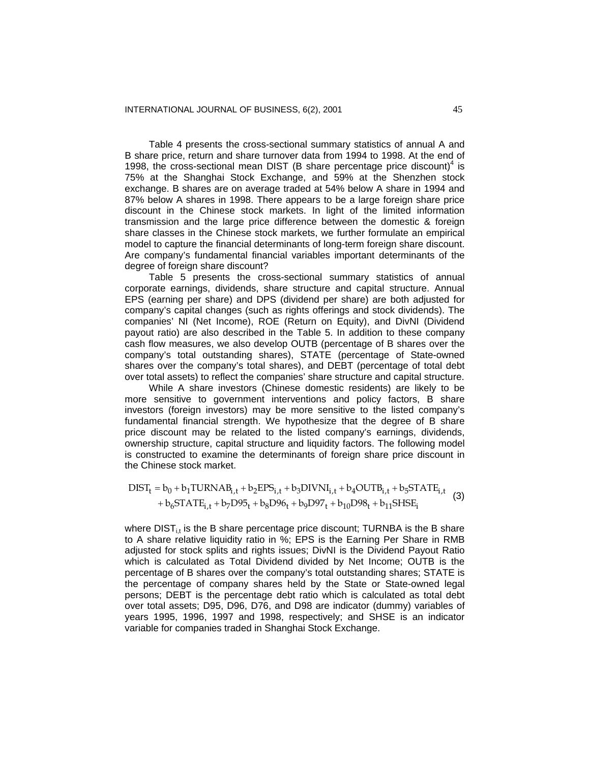Table 4 presents the cross-sectional summary statistics of annual A and B share price, return and share turnover data from 1994 to 1998. At the end of 1998, the cross-sectional mean DIST (B share percentage price discount) $4$  is 75% at the Shanghai Stock Exchange, and 59% at the Shenzhen stock exchange. B shares are on average traded at 54% below A share in 1994 and 87% below A shares in 1998. There appears to be a large foreign share price discount in the Chinese stock markets. In light of the limited information transmission and the large price difference between the domestic & foreign share classes in the Chinese stock markets, we further formulate an empirical model to capture the financial determinants of long-term foreign share discount. Are company's fundamental financial variables important determinants of the degree of foreign share discount?

Table 5 presents the cross-sectional summary statistics of annual corporate earnings, dividends, share structure and capital structure. Annual EPS (earning per share) and DPS (dividend per share) are both adjusted for company's capital changes (such as rights offerings and stock dividends). The companies' NI (Net Income), ROE (Return on Equity), and DivNI (Dividend payout ratio) are also described in the Table 5. In addition to these company cash flow measures, we also develop OUTB (percentage of B shares over the company's total outstanding shares), STATE (percentage of State-owned shares over the company's total shares), and DEBT (percentage of total debt over total assets) to reflect the companies' share structure and capital structure.

While A share investors (Chinese domestic residents) are likely to be more sensitive to government interventions and policy factors, B share investors (foreign investors) may be more sensitive to the listed company's fundamental financial strength. We hypothesize that the degree of B share price discount may be related to the listed company's earnings, dividends, ownership structure, capital structure and liquidity factors. The following model is constructed to examine the determinants of foreign share price discount in the Chinese stock market.

$$
DIST_{t} = b_{0} + b_{1}TURNAB_{i,t} + b_{2}EPS_{i,t} + b_{3}DIVNI_{i,t} + b_{4}OUTB_{i,t} + b_{5}STATE_{i,t} + b_{6}STATE_{i,t} + b_{7}D95_{t} + b_{8}D96_{t} + b_{9}D97_{t} + b_{10}D98_{t} + b_{11}SHSE_{i}
$$
\n(3)

where  $DIST_{it}$  is the B share percentage price discount; TURNBA is the B share to A share relative liquidity ratio in %; EPS is the Earning Per Share in RMB adjusted for stock splits and rights issues; DivNI is the Dividend Payout Ratio which is calculated as Total Dividend divided by Net Income; OUTB is the percentage of B shares over the company's total outstanding shares; STATE is the percentage of company shares held by the State or State-owned legal persons; DEBT is the percentage debt ratio which is calculated as total debt over total assets; D95, D96, D76, and D98 are indicator (dummy) variables of years 1995, 1996, 1997 and 1998, respectively; and SHSE is an indicator variable for companies traded in Shanghai Stock Exchange.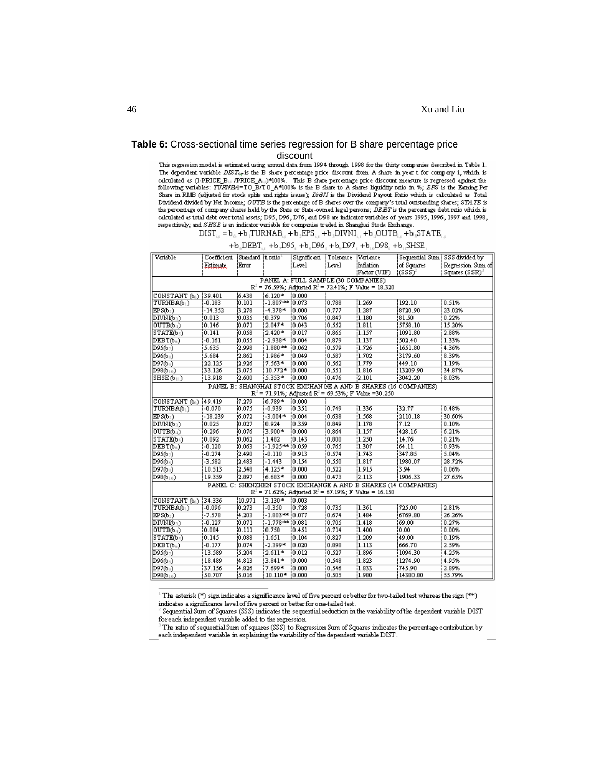# **Table 6:** Cross-sectional time series regression for B share percentage price

discount<br>This regression model is estimated using annual data from 1994 through 1998 for the thirty companies described in Table 1. The dependent variable  $DIST_{i,r}$  is the B share percentage price discount from A share in year t for company i, which is calculated as (1-PRICE B., /PRICE A., )\*100%. This B share percentage price discount measure is regressed against the following variables: TURNE4=TO\_B/TO\_A\*100% is the B share to A shares liquidity ratio in %; EPS is the E Share in RMB (adjusted for stock splits and rights issues); DivNI is the Dividend Payout Ratio which is calculated as Total Dividend divided by Net Income; OUTE is the percentage of B shares over the company's total outstanding shares; STATE is the percentage of company shares held by the State or State-owned legal persons; DEBT is the percenta respectively; and SHSE is an indicator variable for companies traded in Shanghai Stock Exchange.

 $DIST_{\alpha} = b_{\alpha} + b_{\alpha} TURNAB_{\alpha} + b_{\alpha} EPS_{\alpha} + b_{\alpha} DIVNI_{\alpha} + b_{\alpha} OUTB_{\alpha} + b_{\alpha} STATE_{\alpha}$ 

|  |  | $+ b$ , DEBT, $+ b$ , D95, $+ b$ , D96, $+ b$ , D97, $+ b$ , D98, $+ b$ , SHSE, |
|--|--|---------------------------------------------------------------------------------|
|  |  |                                                                                 |

| Variable                                          | Coefficient (Standard (tratio)                                |           |                      | Significant (Tolerance (Variance)   |                |                                                               | Sequential Sum (SSS divided by                                 |                             |  |  |  |
|---------------------------------------------------|---------------------------------------------------------------|-----------|----------------------|-------------------------------------|----------------|---------------------------------------------------------------|----------------------------------------------------------------|-----------------------------|--|--|--|
|                                                   | Estimate.                                                     | Error     |                      | !Level                              | !Level         | Inflation                                                     | of Squares)                                                    | Regression Sum of           |  |  |  |
|                                                   |                                                               |           |                      |                                     |                | Factor(VIF)                                                   | $(SSS)^2$                                                      | (Squares (SSR) <sup>)</sup> |  |  |  |
|                                                   |                                                               |           |                      | PANEL A: FULL SAMPLE (30 COMPANIES) |                |                                                               |                                                                |                             |  |  |  |
|                                                   | $R^2 = 76.59\%$ ; Adjusted $R^2 = 72.41\%$ ; F Value = 18.320 |           |                      |                                     |                |                                                               |                                                                |                             |  |  |  |
| CONSTANT (bi)  39.401                             |                                                               | 16.438    | $16.120*10.000$      |                                     |                |                                                               |                                                                |                             |  |  |  |
| TURNBA(b1)                                        | $-0.183$                                                      | 10.101    | $-1.807***$ $10.073$ |                                     | 10.788         | 1.269                                                         | 192.10                                                         | $10.51\%$                   |  |  |  |
| EPS(b <sub>2</sub> )                              | -14.352                                                       | 3.278     | $-4.378*$            | 10.000                              | 10.777         | 1.287                                                         | 8720.90                                                        | 23.02%                      |  |  |  |
| DIVNIO <sub>3</sub> )                             | 10.013                                                        | 10.035    | 10.379               | 10.706                              | 10.847         | 11.180                                                        | 81.50                                                          | 0.22%                       |  |  |  |
| OUTB(b <sub>4</sub> )                             | 0.146                                                         | (0.071)   | $2.047*$             | ${0.043}$                           | 0.552          | $\overline{1.811}$                                            | 5758.10                                                        | 15.20%                      |  |  |  |
| $STATED5$ )                                       | $\overline{0.141}$                                            | 0.058     | $12.420*$            | 10.017                              | 0.865          | 1.157                                                         | 1091.80                                                        | 2.88%                       |  |  |  |
| $\overline{\text{DEB T(b_6)}}$                    | $-0.161$                                                      | 10.055    | $-2.938*$            | 10.004                              | 0.879          | 1.137                                                         | 502.40                                                         | 1.33%                       |  |  |  |
| $\vert$ D95(b <sub>7</sub> )                      | 5.635                                                         | 12.998    | 1.880 ***            | 10.062                              | 0.579          | 1.726                                                         | 1651.80                                                        | 4.36%                       |  |  |  |
| $\vert$ D96(bs)                                   | 5.684                                                         | 12.862    | !1.986*              | 10.049                              | 10.587         | 11.702                                                        | 3179.60                                                        | 8.39%                       |  |  |  |
| $\overline{D97009}$                               | 122.125                                                       | 12.926    | !7.563*              | 10.000                              | 10.562         | 1.779                                                         | 449.10                                                         | 1.19%                       |  |  |  |
| $\parallel$ D98(b $_{\perp \oplus}$ )             | 33.126                                                        | 3.075     | $10.772*10.000$      |                                     | 10.551         | 1.816                                                         | 13209.90                                                       | 34.87%                      |  |  |  |
| $SHSE(\mathfrak{b}_{\perp})$                      | 13.918                                                        | 12.600    | 5.353*               | 10.000                              | 10.476         | 2.101                                                         | 3042.20                                                        | 8.03%                       |  |  |  |
|                                                   |                                                               |           |                      |                                     |                |                                                               | PANEL B: SHANGHAI STOCK EXCHANGE A AND B SHARES (16 COMPANIES) |                             |  |  |  |
|                                                   | $R^2 = 71.91\%$ ; Adjusted $R^2 = 69.53\%$ ; F Value =30.250  |           |                      |                                     |                |                                                               |                                                                |                             |  |  |  |
| $\boxed{\text{CONSTANT (b_0)} }$ {49.419}         |                                                               | 7.279     | $6.789*$             | 10.000                              |                |                                                               |                                                                |                             |  |  |  |
| TURNBA/b <sub>1</sub> )                           | $1 - 0.070$                                                   | 10.075    | $-0.939$             | 10.351                              | 10.749         | 1.336                                                         | 32.77                                                          | 10.48%                      |  |  |  |
| EPS(b <sub>2</sub> )                              | -18.239                                                       | 16.072    | $1 - 3.004$ **       | 10.004                              | 0.638          | 1.568                                                         | 2110.18                                                        | 30.60%                      |  |  |  |
| DIVNIO <sub>3</sub> )                             | 10.025                                                        | 10.027    | 10.924               | 10.359                              | 0.849          | 1.178                                                         | 7.12                                                           | 0.10%                       |  |  |  |
| OUTB(b <sub>4</sub> )                             | 10.296                                                        | 10.076    | 3.900*               | 10.000                              | 10.864         | i1.157                                                        | 428.16                                                         | 6.21%                       |  |  |  |
| STATE(bs)                                         | 10.092                                                        | 10.062    | 1.482                | 10.143                              | 10.800         | 11.250                                                        | 14.76                                                          | 0.21%                       |  |  |  |
| $DEBT(b_6)$                                       | $-0.120$                                                      | ${0.063}$ | $-1.925*** 0.059$    |                                     | $\sqrt{0.765}$ | 1.307                                                         | 64.11                                                          | 0.93%                       |  |  |  |
| $\vert$ D95(b $_7$ )                              | $-0.274$                                                      | 2.490     | $[-0.110]$           | [0.913]                             | 0.574          | 1.743                                                         | 347.85                                                         | 5.04%                       |  |  |  |
| $\vert$ D96(bs)                                   | $-3.582$                                                      | 2.483     | 1-1.443              | $\overline{0.154}$                  | 10.550         | 1.817                                                         | 1980.07                                                        | 28.72%                      |  |  |  |
| $\mathbb{D}976$ <sup>1</sup>                      | 10.513                                                        | 12.548    | $4.125*$             | 10.000                              | 10.522         | 11.915                                                        | 3.94                                                           | $10.06\%$                   |  |  |  |
| $\overline{D980_{10}}$                            | 19.359                                                        | 12.897    | $6.683*$             | 10.000                              | 10.473         | 12.113                                                        | 1906.33                                                        | 27.65%                      |  |  |  |
|                                                   |                                                               |           |                      |                                     |                |                                                               | PANEL C: SHENZHEN STOCK EXCHANGE A AND B SHARES (14 COMPANIES) |                             |  |  |  |
|                                                   |                                                               |           |                      |                                     |                | $R^2 = 71.62\%$ ; Adjusted $R^2 = 67.19\%$ ; F Value = 16.150 |                                                                |                             |  |  |  |
| $\vert$ CONSTANT (b <sub>1</sub> ) $\vert$ 34.336 |                                                               | (10.971)  | $13.130*$            | ${10.003}$                          |                |                                                               |                                                                |                             |  |  |  |
| TURNBA(b1)                                        | $1 - 0.096$                                                   | 10.273    | $1 - 0.350$          | 10.728                              | 10.735         | 11.361                                                        | 725.00                                                         | 2.81%                       |  |  |  |
| EPS(b <sub>2</sub> )                              | $-7.578$                                                      | 4.203     | $1.803***$ $10.077$  |                                     | 10.674         | 1.484                                                         | 6769.80                                                        | 26.26%                      |  |  |  |
| $\mathbb{D}\text{IVMM}$                           | $-0.127$                                                      | [0.071]   | $-1.778***$ $10.081$ |                                     | 0.705          | 1.418                                                         | 69.00                                                          | 0.27%                       |  |  |  |
| OUTB(b <sub>4</sub> )                             | 10.084                                                        | 10.111    | 10.758               | 10.451                              | 10.714         | 1.400                                                         | 0.00                                                           | $0.00\%$                    |  |  |  |
| STATE(b <sub>s</sub> )                            | 10.145                                                        | 0.088     | 11.651               | 0.104                               | 10.827         | 1.209                                                         | 49.00                                                          | 0.19%                       |  |  |  |
| DEBT(bs)                                          | $-0.177$                                                      | 10.074    | $-2.399*$            | ${0.020}$                           | 0.898          | 1.113                                                         | 666.70                                                         | 2.59%                       |  |  |  |
| $\overline{D95(b_7)}$                             | 13.589                                                        | 5.204     | $2.611*$             | 10.012                              | 10.527         | 1.896                                                         | 1094.30                                                        | 4.25%                       |  |  |  |
| $\vert$ D96(b <sub>3</sub> )                      | 18.489                                                        | 14.813    | <u>13.841*</u>       | 10.000                              | 0.548          | 1.823                                                         | 1274.90                                                        | 4.95%                       |  |  |  |
| $\overline{D97(b_9)}$                             | 37.156                                                        | 4.826     | $7.699*$             | 10.000                              | 10.546         | 1.833                                                         | 745.90                                                         | 12.89%                      |  |  |  |
| $\overline{D980}$                                 | 150.707                                                       | 15.016    | i10.110* i0.000      |                                     | 10.505         | 1.980                                                         | 14380.80                                                       | 155.79%                     |  |  |  |

The asterisk (\*) sign indicates a significance level of five percent or better for two-tailed test whereas the sign (\*\*) indicates a significance level of five percent or better for one-tailed test.

Sequential Sum of Squares (SSS) indicates the sequential reduction in the variability of the dependent variable DIST for each independent variable added to the regression.

The ratio of sequential Sum of squares (SSS) to Regression Sum of Squares indicates the percentage contribution by each independent variable in explaining the variability of the dependent variable DIST.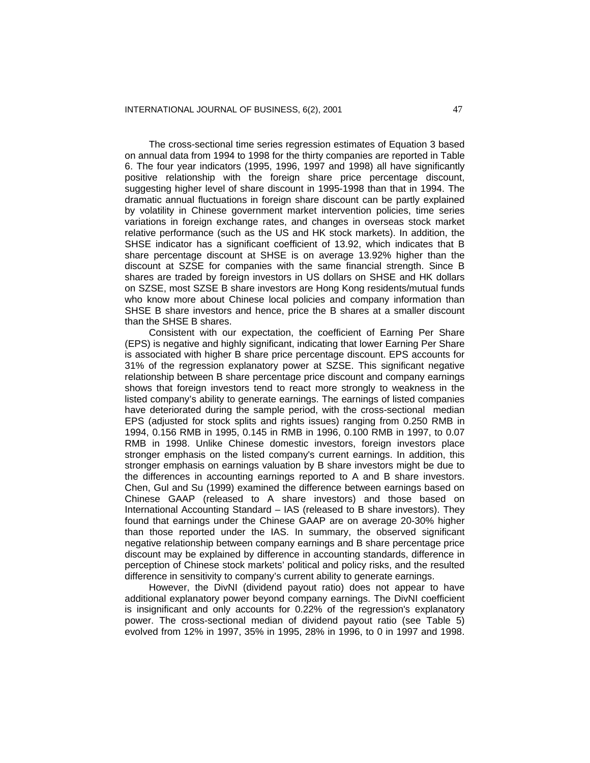The cross-sectional time series regression estimates of Equation 3 based on annual data from 1994 to 1998 for the thirty companies are reported in Table 6. The four year indicators (1995, 1996, 1997 and 1998) all have significantly positive relationship with the foreign share price percentage discount, suggesting higher level of share discount in 1995-1998 than that in 1994. The dramatic annual fluctuations in foreign share discount can be partly explained by volatility in Chinese government market intervention policies, time series variations in foreign exchange rates, and changes in overseas stock market relative performance (such as the US and HK stock markets). In addition, the SHSE indicator has a significant coefficient of 13.92, which indicates that B share percentage discount at SHSE is on average 13.92% higher than the discount at SZSE for companies with the same financial strength. Since B shares are traded by foreign investors in US dollars on SHSE and HK dollars on SZSE, most SZSE B share investors are Hong Kong residents/mutual funds who know more about Chinese local policies and company information than SHSE B share investors and hence, price the B shares at a smaller discount than the SHSE B shares.

Consistent with our expectation, the coefficient of Earning Per Share (EPS) is negative and highly significant, indicating that lower Earning Per Share is associated with higher B share price percentage discount. EPS accounts for 31% of the regression explanatory power at SZSE. This significant negative relationship between B share percentage price discount and company earnings shows that foreign investors tend to react more strongly to weakness in the listed company's ability to generate earnings. The earnings of listed companies have deteriorated during the sample period, with the cross-sectional median EPS (adjusted for stock splits and rights issues) ranging from 0.250 RMB in 1994, 0.156 RMB in 1995, 0.145 in RMB in 1996, 0.100 RMB in 1997, to 0.07 RMB in 1998. Unlike Chinese domestic investors, foreign investors place stronger emphasis on the listed company's current earnings. In addition, this stronger emphasis on earnings valuation by B share investors might be due to the differences in accounting earnings reported to A and B share investors. Chen, Gul and Su (1999) examined the difference between earnings based on Chinese GAAP (released to A share investors) and those based on International Accounting Standard – IAS (released to B share investors). They found that earnings under the Chinese GAAP are on average 20-30% higher than those reported under the IAS. In summary, the observed significant negative relationship between company earnings and B share percentage price discount may be explained by difference in accounting standards, difference in perception of Chinese stock markets' political and policy risks, and the resulted difference in sensitivity to company's current ability to generate earnings.

However, the DivNI (dividend payout ratio) does not appear to have additional explanatory power beyond company earnings. The DivNI coefficient is insignificant and only accounts for 0.22% of the regression's explanatory power. The cross-sectional median of dividend payout ratio (see Table 5) evolved from 12% in 1997, 35% in 1995, 28% in 1996, to 0 in 1997 and 1998.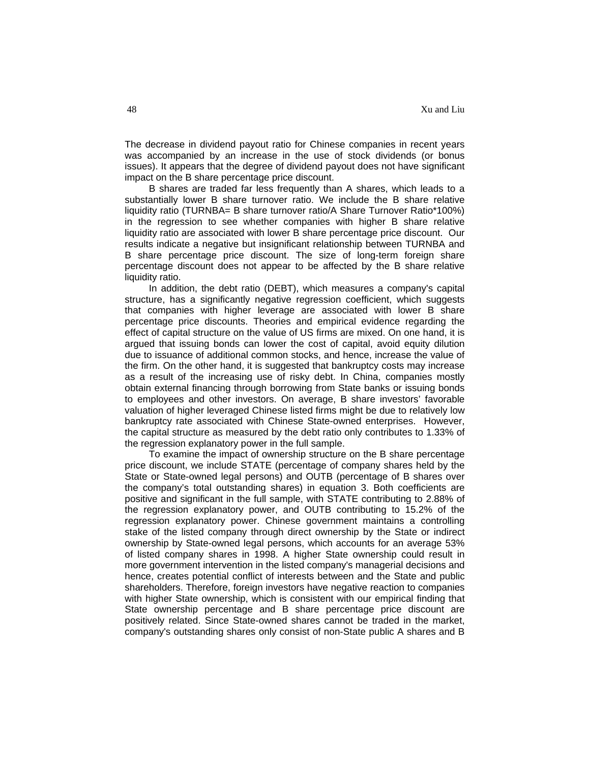The decrease in dividend payout ratio for Chinese companies in recent years was accompanied by an increase in the use of stock dividends (or bonus issues). It appears that the degree of dividend payout does not have significant impact on the B share percentage price discount.

B shares are traded far less frequently than A shares, which leads to a substantially lower B share turnover ratio. We include the B share relative liquidity ratio (TURNBA= B share turnover ratio/A Share Turnover Ratio\*100%) in the regression to see whether companies with higher B share relative liquidity ratio are associated with lower B share percentage price discount. Our results indicate a negative but insignificant relationship between TURNBA and B share percentage price discount. The size of long-term foreign share percentage discount does not appear to be affected by the B share relative liquidity ratio.

In addition, the debt ratio (DEBT), which measures a company's capital structure, has a significantly negative regression coefficient, which suggests that companies with higher leverage are associated with lower B share percentage price discounts. Theories and empirical evidence regarding the effect of capital structure on the value of US firms are mixed. On one hand, it is argued that issuing bonds can lower the cost of capital, avoid equity dilution due to issuance of additional common stocks, and hence, increase the value of the firm. On the other hand, it is suggested that bankruptcy costs may increase as a result of the increasing use of risky debt. In China, companies mostly obtain external financing through borrowing from State banks or issuing bonds to employees and other investors. On average, B share investors' favorable valuation of higher leveraged Chinese listed firms might be due to relatively low bankruptcy rate associated with Chinese State-owned enterprises. However, the capital structure as measured by the debt ratio only contributes to 1.33% of the regression explanatory power in the full sample.

To examine the impact of ownership structure on the B share percentage price discount, we include STATE (percentage of company shares held by the State or State-owned legal persons) and OUTB (percentage of B shares over the company's total outstanding shares) in equation 3. Both coefficients are positive and significant in the full sample, with STATE contributing to 2.88% of the regression explanatory power, and OUTB contributing to 15.2% of the regression explanatory power. Chinese government maintains a controlling stake of the listed company through direct ownership by the State or indirect ownership by State-owned legal persons, which accounts for an average 53% of listed company shares in 1998. A higher State ownership could result in more government intervention in the listed company's managerial decisions and hence, creates potential conflict of interests between and the State and public shareholders. Therefore, foreign investors have negative reaction to companies with higher State ownership, which is consistent with our empirical finding that State ownership percentage and B share percentage price discount are positively related. Since State-owned shares cannot be traded in the market, company's outstanding shares only consist of non-State public A shares and B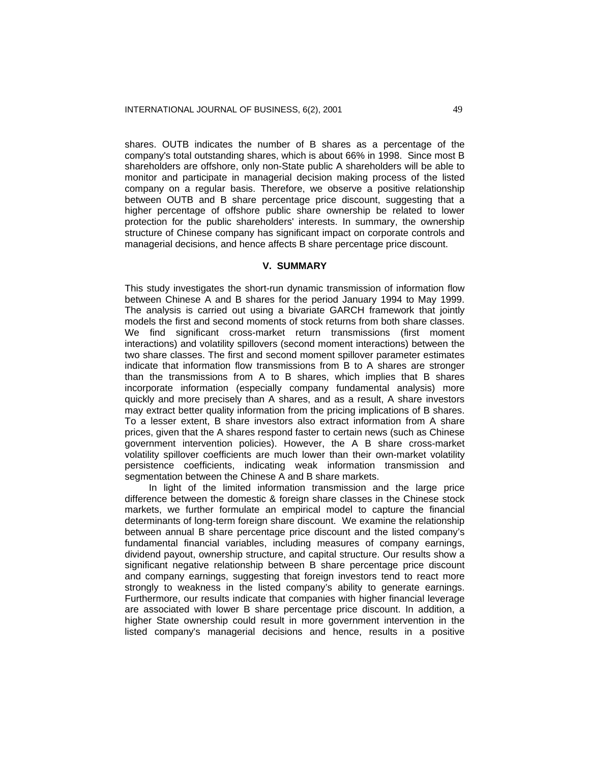shares. OUTB indicates the number of B shares as a percentage of the company's total outstanding shares, which is about 66% in 1998. Since most B shareholders are offshore, only non-State public A shareholders will be able to monitor and participate in managerial decision making process of the listed company on a regular basis. Therefore, we observe a positive relationship between OUTB and B share percentage price discount, suggesting that a higher percentage of offshore public share ownership be related to lower protection for the public shareholders' interests. In summary, the ownership structure of Chinese company has significant impact on corporate controls and managerial decisions, and hence affects B share percentage price discount.

# **V. SUMMARY**

This study investigates the short-run dynamic transmission of information flow between Chinese A and B shares for the period January 1994 to May 1999. The analysis is carried out using a bivariate GARCH framework that jointly models the first and second moments of stock returns from both share classes. We find significant cross-market return transmissions (first moment interactions) and volatility spillovers (second moment interactions) between the two share classes. The first and second moment spillover parameter estimates indicate that information flow transmissions from B to A shares are stronger than the transmissions from A to B shares, which implies that B shares incorporate information (especially company fundamental analysis) more quickly and more precisely than A shares, and as a result, A share investors may extract better quality information from the pricing implications of B shares. To a lesser extent, B share investors also extract information from A share prices, given that the A shares respond faster to certain news (such as Chinese government intervention policies). However, the A B share cross-market volatility spillover coefficients are much lower than their own-market volatility persistence coefficients, indicating weak information transmission and segmentation between the Chinese A and B share markets.

In light of the limited information transmission and the large price difference between the domestic & foreign share classes in the Chinese stock markets, we further formulate an empirical model to capture the financial determinants of long-term foreign share discount. We examine the relationship between annual B share percentage price discount and the listed company's fundamental financial variables, including measures of company earnings, dividend payout, ownership structure, and capital structure. Our results show a significant negative relationship between B share percentage price discount and company earnings, suggesting that foreign investors tend to react more strongly to weakness in the listed company's ability to generate earnings. Furthermore, our results indicate that companies with higher financial leverage are associated with lower B share percentage price discount. In addition, a higher State ownership could result in more government intervention in the listed company's managerial decisions and hence, results in a positive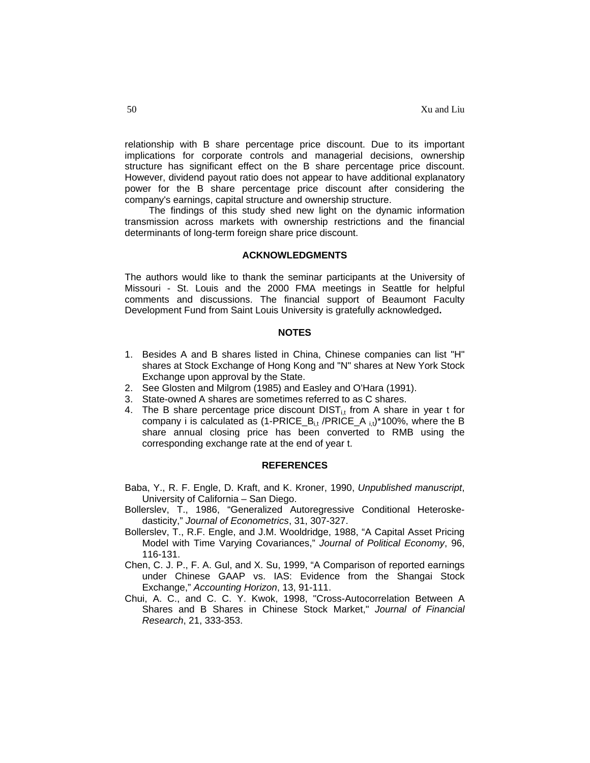relationship with B share percentage price discount. Due to its important implications for corporate controls and managerial decisions, ownership structure has significant effect on the B share percentage price discount. However, dividend payout ratio does not appear to have additional explanatory power for the B share percentage price discount after considering the company's earnings, capital structure and ownership structure.

The findings of this study shed new light on the dynamic information transmission across markets with ownership restrictions and the financial determinants of long-term foreign share price discount.

#### **ACKNOWLEDGMENTS**

The authors would like to thank the seminar participants at the University of Missouri - St. Louis and the 2000 FMA meetings in Seattle for helpful comments and discussions. The financial support of Beaumont Faculty Development Fund from Saint Louis University is gratefully acknowledged**.** 

#### **NOTES**

- 1. Besides A and B shares listed in China, Chinese companies can list "H" shares at Stock Exchange of Hong Kong and "N" shares at New York Stock Exchange upon approval by the State.
- 2. See Glosten and Milgrom (1985) and Easley and O'Hara (1991).
- 3. State-owned A shares are sometimes referred to as C shares.
- 4. The B share percentage price discount  $DIST_{it}$  from A share in year t for company i is calculated as  $(1-PRICE_B_{i,t}/PRICE_A_{i,t})*100\%$ , where the B share annual closing price has been converted to RMB using the corresponding exchange rate at the end of year t.

#### **REFERENCES**

- Baba, Y., R. F. Engle, D. Kraft, and K. Kroner, 1990, *Unpublished manuscript*, University of California – San Diego.
- Bollerslev, T., 1986, "Generalized Autoregressive Conditional Heteroskedasticity," *Journal of Econometrics*, 31, 307-327.
- Bollerslev, T., R.F. Engle, and J.M. Wooldridge, 1988, "A Capital Asset Pricing Model with Time Varying Covariances," *Journal of Political Economy*, 96, 116-131.
- Chen, C. J. P., F. A. Gul, and X. Su, 1999, "A Comparison of reported earnings under Chinese GAAP vs. IAS: Evidence from the Shangai Stock Exchange," *Accounting Horizon*, 13, 91-111.
- Chui, A. C., and C. C. Y. Kwok, 1998, "Cross-Autocorrelation Between A Shares and B Shares in Chinese Stock Market," *Journal of Financial Research*, 21, 333-353.